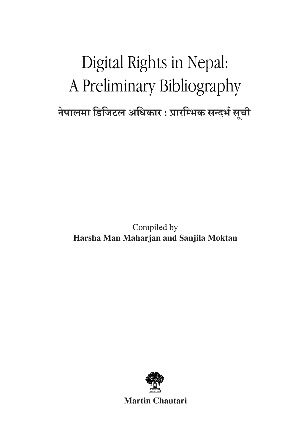# Digital Rights in Nepal: A Preliminary Bibliography **नेपालमा डिजिटल अधिकार : प्रारम्भिक सन्दर्भ सची ू**

Compiled by **Harsha Man Maharjan and Sanjila Moktan**



**Martin Chautari**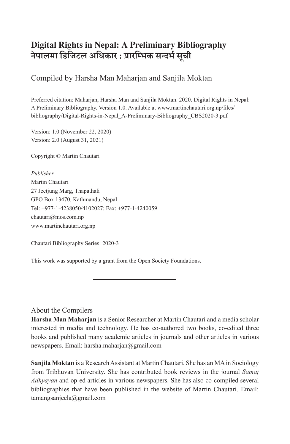#### **Digital Rights in Nepal: A Preliminary Bibliography नेपालमा डिजिटल अधिकार : प्रारम्भिक सन्दर्भ सची ू**

### Compiled by Harsha Man Maharjan and Sanjila Moktan

Preferred citation: Maharjan, Harsha Man and Sanjila Moktan. 2020. Digital Rights in Nepal: A Preliminary Bibliography. Version 1.0. Available at www.martinchautari.org.np/files/ bibliography/Digital-Rights-in-Nepal\_A-Preliminary-Bibliography\_CBS2020-3.pdf

Version: 1.0 (November 22, 2020) Version: 2.0 (August 31, 2021)

Copyright © Martin Chautari

*Publisher* Martin Chautari 27 Jeetjung Marg, Thapathali GPO Box 13470, Kathmandu, Nepal Tel: +977-1-4238050/4102027; Fax: +977-1-4240059 chautari@mos.com.np www.martinchautari.org.np

Chautari Bibliography Series: 2020-3

This work was supported by a grant from the Open Society Foundations.

#### About the Compilers

**Harsha Man Maharjan** is a Senior Researcher at Martin Chautari and a media scholar interested in media and technology. He has co-authored two books, co-edited three books and published many academic articles in journals and other articles in various newspapers. Email: harsha.maharjan@gmail.com

**Sanjila Moktan** is a Research Assistant at Martin Chautari. She has an MA in Sociology from Tribhuvan University. She has contributed book reviews in the journal *Samaj Adhyayan* and op-ed articles in various newspapers. She has also co-compiled several bibliographies that have been published in the website of Martin Chautari. Email: tamangsanjeela@gmail.com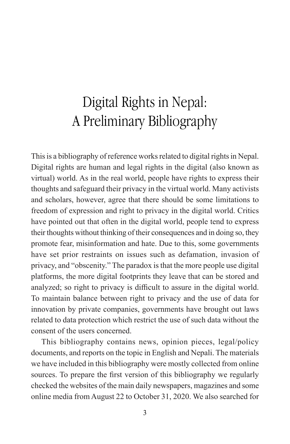# Digital Rights in Nepal: A Preliminary Bibliography

This is a bibliography of reference works related to digital rights in Nepal. Digital rights are human and legal rights in the digital (also known as virtual) world. As in the real world, people have rights to express their thoughts and safeguard their privacy in the virtual world. Many activists and scholars, however, agree that there should be some limitations to freedom of expression and right to privacy in the digital world. Critics have pointed out that often in the digital world, people tend to express their thoughts without thinking of their consequences and in doing so, they promote fear, misinformation and hate. Due to this, some governments have set prior restraints on issues such as defamation, invasion of privacy, and "obscenity." The paradox is that the more people use digital platforms, the more digital footprints they leave that can be stored and analyzed; so right to privacy is difficult to assure in the digital world. To maintain balance between right to privacy and the use of data for innovation by private companies, governments have brought out laws related to data protection which restrict the use of such data without the consent of the users concerned.

This bibliography contains news, opinion pieces, legal/policy documents, and reports on the topic in English and Nepali. The materials we have included in this bibliography were mostly collected from online sources. To prepare the first version of this bibliography we regularly checked the websites of the main daily newspapers, magazines and some online media from August 22 to October 31, 2020. We also searched for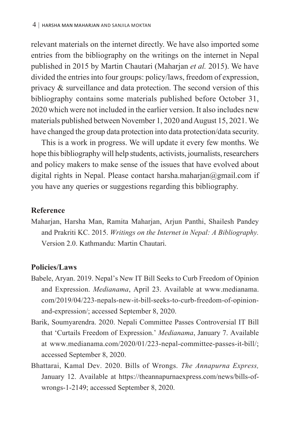relevant materials on the internet directly. We have also imported some entries from the bibliography on the writings on the internet in Nepal published in 2015 by Martin Chautari (Maharjan *et al.* 2015). We have divided the entries into four groups: policy/laws, freedom of expression, privacy & surveillance and data protection. The second version of this bibliography contains some materials published before October 31, 2020 which were not included in the earlier version. It also includes new materials published between November 1, 2020 and August 15, 2021. We have changed the group data protection into data protection/data security.

This is a work in progress. We will update it every few months. We hope this bibliography will help students, activists, journalists, researchers and policy makers to make sense of the issues that have evolved about digital rights in Nepal. Please contact harsha.maharjan@gmail.com if you have any queries or suggestions regarding this bibliography.

#### **Reference**

Maharjan, Harsha Man, Ramita Maharjan, Arjun Panthi, Shailesh Pandey and Prakriti KC. 2015. *Writings on the Internet in Nepal: A Bibliography.* Version 2.0. Kathmandu: Martin Chautari.

#### **Policies/Laws**

- Babele, Aryan. 2019. Nepal's New IT Bill Seeks to Curb Freedom of Opinion and Expression. *Medianama*, April 23. Available at www.medianama. com/2019/04/223-nepals-new-it-bill-seeks-to-curb-freedom-of-opinionand-expression/; accessed September 8, 2020.
- Barik, Soumyarendra. 2020. Nepali Committee Passes Controversial IT Bill that 'Curtails Freedom of Expression.' *Medianama*, January 7. Available at www.medianama.com/2020/01/223-nepal-committee-passes-it-bill/; accessed September 8, 2020.
- Bhattarai, Kamal Dev. 2020. Bills of Wrongs. *The Annapurna Express,* January 12. Available at https://theannapurnaexpress.com/news/bills-ofwrongs-1-2149; accessed September 8, 2020.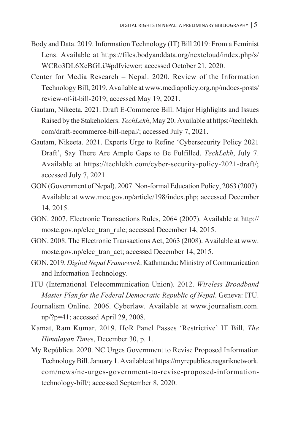- Body and Data. 2019. Information Technology (IT) Bill 2019: From a Feminist Lens. Available at https://files.bodyanddata.org/nextcloud/index.php/s/ WCRo3DL6XcBGLiJ#pdfviewer; accessed October 21, 2020.
- Center for Media Research Nepal. 2020. Review of the Information Technology Bill, 2019. Available at www.mediapolicy.org.np/mdocs-posts/ review-of-it-bill-2019; accessed May 19, 2021.
- Gautam, Nikeeta. 2021. Draft E-Commerce Bill: Major Highlights and Issues Raised by the Stakeholders. *TechLekh*, May 20. Available at https://techlekh. com/draft-ecommerce-bill-nepal/; accessed July 7, 2021.
- Gautam, Nikeeta. 2021. Experts Urge to Refine 'Cybersecurity Policy 2021 Draft', Say There Are Ample Gaps to Be Fulfilled. *TechLekh*, July 7. Available at https://techlekh.com/cyber-security-policy-2021-draft/; accessed July 7, 2021.
- GON (Government of Nepal). 2007. Non-formal Education Policy, 2063 (2007). Available at www.moe.gov.np/article/198/index.php; accessed December 14, 2015.
- GON. 2007. Electronic Transactions Rules, 2064 (2007). Available at http:// moste.gov.np/elec\_tran\_rule; accessed December 14, 2015.
- GON. 2008. The Electronic Transactions Act, 2063 (2008). Available at www. moste.gov.np/elec\_tran\_act; accessed December 14, 2015.
- GON. 2019. *Digital Nepal Framework*. Kathmandu: Ministry of Communication and Information Technology.
- ITU (International Telecommunication Union). 2012. *Wireless Broadband Master Plan for the Federal Democratic Republic of Nepal*. Geneva: ITU.
- Journalism Online. 2006. Cyberlaw. Available at www.journalism.com. np/?p=41; accessed April 29, 2008.
- Kamat, Ram Kumar. 2019. HoR Panel Passes 'Restrictive' IT Bill. *The Himalayan Time*s, December 30, p. 1.
- My República. 2020. NC Urges Government to Revise Proposed Information Technology Bill. January 1. Available at https://myrepublica.nagariknetwork. com/news/nc-urges-government-to-revise-proposed-informationtechnology-bill/; accessed September 8, 2020.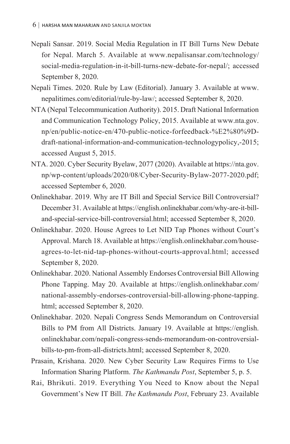- Nepali Sansar. 2019. Social Media Regulation in IT Bill Turns New Debate for Nepal. March 5. Available at www.nepalisansar.com/technology/ social-media-regulation-in-it-bill-turns-new-debate-for-nepal/; accessed September 8, 2020.
- Nepali Times. 2020. Rule by Law (Editorial). January 3. Available at www. nepalitimes.com/editorial/rule-by-law/; accessed September 8, 2020.
- NTA (Nepal Telecommunication Authority). 2015. Draft National Information and Communication Technology Policy, 2015. Available at www.nta.gov. np/en/public-notice-en/470-public-notice-forfeedback-%E2%80%9Ddraft-national-information-and-communication-technologypolicy,-2015; accessed August 5, 2015.
- NTA. 2020. Cyber Security Byelaw, 2077 (2020). Available at https://nta.gov. np/wp-content/uploads/2020/08/Cyber-Security-Bylaw-2077-2020.pdf; accessed September 6, 2020.
- Onlinekhabar. 2019. Why are IT Bill and Special Service Bill Controversial? December 31. Available at https://english.onlinekhabar.com/why-are-it-billand-special-service-bill-controversial.html; accessed September 8, 2020.
- Onlinekhabar. 2020. House Agrees to Let NID Tap Phones without Court's Approval. March 18. Available at https://english.onlinekhabar.com/houseagrees-to-let-nid-tap-phones-without-courts-approval.html; accessed September 8, 2020.
- Onlinekhabar. 2020. National Assembly Endorses Controversial Bill Allowing Phone Tapping. May 20. Available at https://english.onlinekhabar.com/ national-assembly-endorses-controversial-bill-allowing-phone-tapping. html; accessed September 8, 2020.
- Onlinekhabar. 2020. Nepali Congress Sends Memorandum on Controversial Bills to PM from All Districts. January 19. Available at https://english. onlinekhabar.com/nepali-congress-sends-memorandum-on-controversialbills-to-pm-from-all-districts.html; accessed September 8, 2020.
- Prasain, Krishana. 2020. New Cyber Security Law Requires Firms to Use Information Sharing Platform. *The Kathmandu Post*, September 5, p. 5.
- Rai, Bhrikuti. 2019. Everything You Need to Know about the Nepal Government's New IT Bill. *The Kathmandu Post*, February 23. Available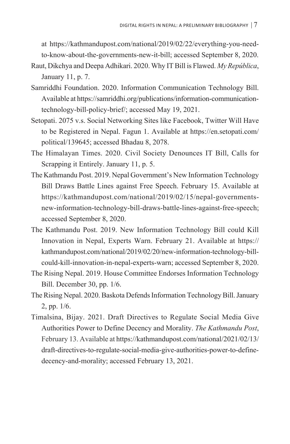at https://kathmandupost.com/national/2019/02/22/everything-you-needto-know-about-the-governments-new-it-bill; accessed September 8, 2020.

- Raut, Dikchya and Deepa Adhikari. 2020. Why IT Bill is Flawed. *My República*, January 11, p. 7.
- Samriddhi Foundation. 2020. Information Communication Technology Bill. Available at https://samriddhi.org/publications/information-communicationtechnology-bill-policy-brief/; accessed May 19, 2021.
- Setopati. 2075 v.s. Social Networking Sites like Facebook, Twitter Will Have to be Registered in Nepal. Fagun 1. Available at https://en.setopati.com/ political/139645; accessed Bhadau 8, 2078.
- The Himalayan Times. 2020. Civil Society Denounces IT Bill, Calls for Scrapping it Entirely. January 11, p. 5.
- The Kathmandu Post. 2019. Nepal Government's New Information Technology Bill Draws Battle Lines against Free Speech. February 15. Available at https://kathmandupost.com/national/2019/02/15/nepal-governmentsnew-information-technology-bill-draws-battle-lines-against-free-speech; accessed September 8, 2020.
- The Kathmandu Post. 2019. New Information Technology Bill could Kill Innovation in Nepal, Experts Warn. February 21. Available at https:// kathmandupost.com/national/2019/02/20/new-information-technology-billcould-kill-innovation-in-nepal-experts-warn; accessed September 8, 2020.
- The Rising Nepal. 2019. House Committee Endorses Information Technology Bill. December 30, pp. 1/6.
- The Rising Nepal. 2020. Baskota Defends Information Technology Bill. January 2, pp. 1/6.
- Timalsina, Bijay. 2021. Draft Directives to Regulate Social Media Give Authorities Power to Define Decency and Morality. *The Kathmandu Post*, February 13. Available at https://kathmandupost.com/national/2021/02/13/ draft-directives-to-regulate-social-media-give-authorities-power-to-definedecency-and-morality; accessed February 13, 2021.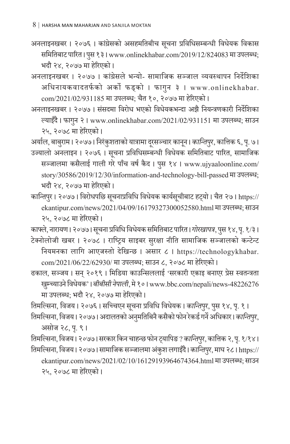- अनलाइनखबर । २०७६ । कांग्रेसको असहमतिबीच सूचना प्रविधिसम्बन्धी विधेयक विकास समितिबाट पारित। पुस १३। www.onlinekhabar.com/2019/12/824083 मा उपलब्ध; भदौ २४, २०७७ मा हरेिएको ।
- अनलाइनखबर । २०७७ । कां ग्रेसले भन्यो- सामाजिक सञ्जाल व्यवस्थापन निर्देशिका अधिनायकवादतर्फको अर्को फड्को । फागुन ३ । www.onlinekhabar. com/2021/02/931185 मा उपलब्ध; चैत १०, २०७७ मा हरेिएको ।
- अनलाइनखबर । २०७७ । सं सदमा विरोध भएको विधेयकभन्दा अझै नियन्त्रणकारी निर्शदेिका ल्याइँदै । फागुन २ । www.onlinekhabar.com/2021/02/931151 मा उपलब्ध; साउन २५, २०७८ मा हरेिएको ।

अर्याल, बाबुराम। २०७७। निरंकुशताको यात्रामा दूरसञ्चार कानून। *कान्तिपुर,* कात्तिक ६, पृ. ७।

- उज्यालो अनलाइन । २०७६ । सूचना प्रविधिसम्बन्धी विधेयक समितिबाट पारित, सामाजिक सञ्जालमा कसैलाई गाली गरे पाँच वर्ष कैद। पुस १४। www.ujyaaloonline.com/ story/30586/2019/12/30/information-and-technology-bill-passed मा उपलब्ध; भदौ २४, २०७७ मा हरेिएको ।
- कान्तिपुर । २०७७ । विरोधपछि सूचनाप्रविधि विधेयक कार्यसूचीबाट हट्यो । चैत २७ । https:// ekantipur.com/news/2021/04/09/16179327300052580.html मा उपलब्ध; साउन २५, २०७८ मा हरेिएको ।

काफ्ले, नारायण। २०७७। सूचना प्रविधि विधेयक समितिबाट पारित। *गोरखापत्र*, पुस १४, पृ. १/३। टेक्नोलोजी खबर । २०७८ । राष्ट्रिय साइबर सुरक्षा नीति सामाजिक सञ्जालको कन्टेन्ट

नियमनका लागि आएजस्तो देखिन्छ । असार ८ । https://technologykhabar. com/2021/06/22/62930/ मा उपलब्ध; साउन ८, २०७८ मा हरेिएको ।

ढकाल, सञ्जय । सन् २०१९ । मिडिया काउन्सिललाई 'सरकारी एकाइ बनाएर प्रेस स्वतन्त्रता खम्चु ्याउनेविधेयक' । *बीबीसीनेपाली*, मे१० । www.bbc.com/nepali/news-48226276 मा उपलब्ध; भदौ २४, २०७७ मा हरेिएको ।

तिमल्सिना, विजय । २०७६ । सच्चिएन सूचना प्रविधि विधेयक । *कान्तिपुर*, पुस १४, पृ. १ ।

तिमल्सिना, विजय। २०७७। अदालतको अनुमतिबिनै कसैको फोन रेकर्ड गर्ने अधिकार।*कान्तिपुर*, असोज २८, प. ९ । ृ

तिमल्सिना, विजय। २०७७। सरकार किन चाहन्छ फोन ट्यापिङ ? *कान्तिपुर*, कात्तिक २, पृ. १/१४।

तिमल्सिना, विजय। २०७७। सामाजिक सञ्जालमा अंकुश लगाइँदै। *कान्तिपुर*, माघ २८। https:// ekantipur.com/news/2021/02/10/16129193964674364.html मा उपलब्ध; साउन २५, २०७८ मा हरेिएको ।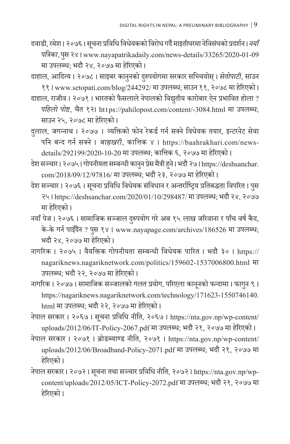- दवाडी, रमेश। २०७६। सूचना प्रविधि विधेयकको विरोध गर्दै माइतीघरमा नेविसंघको प्रदर्शन। *नयाँ पत्रिका*, पस २४ । www.nayapatrikadaily.com/news-details/33265/2020-01-09 ु मा उपलब्ध; भदौ २४, २०७७ मा हरेिएको ।
- दाहाल, आदित्य । २०७८ । साइबर कानुनको दुरुपयोगमा सरकार सच्चियोस् । *सेतोपाटी,* साउन ११ । www.setopati.com/blog/244292/ मा उपलब्ध; साउन ११, २०७८ मा हरेिएको ।
- दाहाल, राजीव । २०७१ । भारतको फैसलाले नेपालको विद्युतीय कारोबार ऐन प्रभावित होला ? *पहिलो पोष्ट*, चैत १२। https://pahilopost.com/content/-3084.html मा उपलब्ध; साउन २५, २०७८ मा हरेिएको ।
- दलाल, ु जगन्नाथ । २०७७ । व्यक्तिको फोन रेकर्ड गर्न सक्नेविधेयक तयार, इन्टरनेट सेवा पनि बन्द गर्न सक्ने । *बाह्रखरी*, कात्तिक ४ । https://baahrakhari.com/newsdetails/292199/2020-10-20 मा उपलब्ध; कात्तिक ६, २०७७ मा हरेिएको ।
- देश सञ्चार। २०७५। गोपनीयता सम्बन्धी कानुन प्रेस मैत्री हुने। भदौ २७। https://deshsanchar. com/2018/09/12/97816/ मा उपलब्ध; भदौ २३, २०७७ मा हरेिएको ।
- देश सञ्चार । २०७६ । सूचना प्रविधि विधेयक संविधान र अन्तर्राष्ट्रिय प्रतिबद्धता विपरित । पुस ु २५ । https://deshsanchar.com/2020/01/10/298487/ मा उपलब्ध; भदौ २४, २०७७ मा हरेिएको ।
- नयाँ पेज । २०७६ । सामाजिक सञ्जाल दुरुपयोग गरे अब १५ लाख जरिवाना र पाँच वर्ष कैद, के-के गर्न पाइँदैन ? पुस १४ । www.nayapage.com/archives/186526 मा उपलब्ध; भदौ २४, २०७७ मा हरेिएको ।
- नागरिक । २०७५ । वैयक्तिक गोपनीयता सम्बन्धी विधेयक पारित । भदौ ३० । https:// nagariknews.nagariknetwork.com/politics/159602-1537006800.html मा उपलब्ध; भदौ २२, २०७७ मा हरेिएको ।
- नागरिक । २०७७ । सामाजिक सञ्जालको गलत प्रयोग, परिएला कानूनको फन्दामा । फागुन ९ । ु https://nagariknews.nagariknetwork.com/technology/171623-1550746140. html मा उपलब्ध; भदौ २२, २०७७ मा हरेिएको ।
- नेपाल सरकार । २०६७ । सूचना प्रविधि नीति, २०६७ । https://nta.gov.np/wp-content/ uploads/2012/06/IT-Policy-2067.pdf मा उपलब्ध; भदौ २१, २०७७ मा हरेिएको ।
- नेपाल सरकार । २०७१ । ब्रोडब्याण्ड नीति, २०७१ । https://nta.gov.np/wp-content/ uploads/2012/06/Broadband-Policy-2071.pdf मा उपलब्ध; भदौ २१, २०७७ मा हरेिएको ।
- नेपाल सरकार । २०७२ । सूचना तथा सञ्चार प्रविधि नीति, २०७२ । https://nta.gov.np/wpcontent/uploads/2012/05/ICT-Policy-2072.pdf मा उपलब्ध; भदौ २१, २०७७ मा हरेिएको ।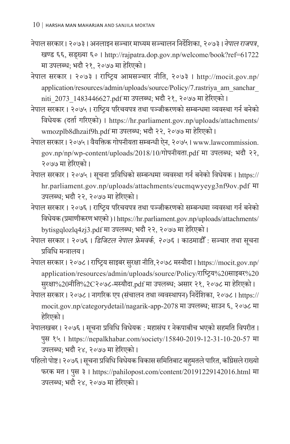नेपाल सरकार । २०७३ । अनलाइन सञ्चार माध्यम सञ्चालन निर्शदेिका, २०७३ । *नेपाल राजपत्र*, खण्ड ६६, सड्ख्या ६० । http://rajpatra.dop.gov.np/welcome/book?ref=61722 मा उपलब्ध; भदौ २१, २०७७ मा हरेिएको ।

नेपाल सरकार । २०७३ । राष्ट्रिय आमसञ्चार नीति, २०७३ । http://mocit.gov.np/ application/resources/admin/uploads/source/Policy/7.rastriya\_am\_sanchar\_ niti\_2073\_1483446627.pdf मा उपलब्ध; भदौ २१, २०७७ मा हरेिएको ।

नेपाल सरकार । २०७५ । राष्ट्रिय परिचयपत्र तथा पञ्जीकरणको सम्बन्धमा व्यवस्था गर्न बनेको विधेयक (दर्ता गरिएको) । https://hr.parliament.gov.np/uploads/attachments/ wmozplb8dhzaif9h.pdf मा उपलब्ध; भदौ २२, २०७७ मा हरेिएको ।

नेपाल सरकार । २०७५ । वैयक्तिक गोपनीयता सम्बन्धी ऐन, २०७५ । www.lawcommission. gov.np/np/wp-content/uploads/2018/10/गोपनीयता.pdf मा उपलब्ध; भदौ २२, २०७७ मा हरेिएको ।

नेपाल सरकार । २०७५ । सूचना प्रविधिको सम्बन्धमा व्यवस्था गर्न बनेको विधेयक । https:// hr.parliament.gov.np/uploads/attachments/eucmqwyeyg3nf9ov.pdf मा उपलब्ध; भदौ २२, २०७७ मा हरेिएको ।

नेपाल सरकार । २०७६ । राष्ट्रिय परिचयपत्र तथा पञ्जीकरणको सम्बन्धमा व्यवस्था गर्न बनेको विधेयक (प्रमाणीकरण भएको ) । https://hr.parliament.gov.np/uploads/attachments/ bytisgqlozlq4zj3.pdf मा उपलब्ध; भदौ २२, २०७७ मा हरेिएको ।

नेपाल सरकार । २०७६ । *डिजिटल नेपाल फ्रेमवर्क , २०७६* । काठमाडौ ँ : सञ्चार तथा सचना ू प्रविधि मन्त्रालय ।

नेपाल सरकार । २०७८ । राष्ट्रिय साइबर सुरक्षा नीति,२०७८ मस्यौदा । https://mocit.gov.np/ application/resources/admin/uploads/source/Policy/राष्ट्रिय%20साइबर%20 सुरक्षा%20नीति%2C२०७८-मस्यौदा.pdf मा उपलब्ध; असार २१, २०७८ मा हेरिएको ।

नेपाल सरकार । २०७८ । नागरिक एप (सं चालन तथा व्यवस्थापन) निर्शदेिका, २०७८ । https:// mocit.gov.np/categorydetail/nagarik-app-2078 मा उपलब्ध; साउन ६, २०७८ मा हरेिएको ।

नेपालखबर। २०७६। सूचना प्रविधि विधेयक : महासंघ र नेकपाबीच भएको सहमति विपरीत। पस १५ । https://nepalkhabar.com/society/15840-2019-12-31-10-20-57 मा ु उपलब्ध; भदौ २४, २०७७ मा हरेिएको ।

पहिलो पोष्ट। २०७६। सूचना प्रविधि विधेयक विकास समितिबाट बहुमतले पारित, काँग्रेसले राख्यो फरक मत। पुस ३। https://pahilopost.com/content/20191229142016.html मा उपलब्ध; भदौ २४, २०७७ मा हरेिएको ।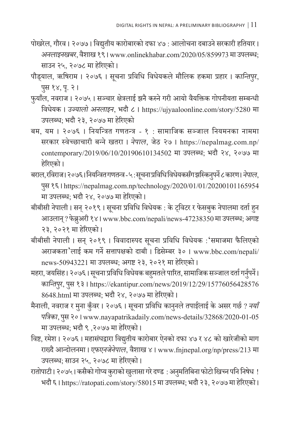- पोखरेल, गौरव । २०७७ । विद्युतीय कारोबारको दफा ४७ : आलोचना दबाउने सरकारी हतियार । *अनलाइनखबर*, वशै ाख १९ । www.onlinekhabar.com/2020/05/859973 मा उपलब्ध; साउन २५, २०७८ मा हरेिएको ।
- पौड्याल, ऋषिराम । २०७६ । सूचना प्रविधि विधेयकले मौलिक हकमा प्रहार । *कान्तिपुर,* पुस १४, पृ. २।
- फुयाँल, नवराज । २०७५ । सञ्चार क्षेत्रलाई झनै कस्ने गरी आयो वैयक्तिक गोपनीयता सम्बन्धी विधेयक । *उज्यालो अनलाइन*, भदौ ८ । https://ujyaaloonline.com/story/5280 मा उपलब्ध; भदौ २३, २०७७ मा हरेिएको
- बम, यम । २०७६ । नियन्त्रित गणतन्त्र १ : सामाजिक सञ्जाल नियमनका नाममा सरकार स्वेच्छाचारी बन्नेखतरा । *नेपाल*, जेठ २७ । https://nepalmag.com.np/ contemporary/2019/06/10/20190610134502 मा उपलब्ध; भदौ २४, २०७७ मा हरेिएको ।
- बराल, रविराज। २०७६। नियन्त्रित गणतन्त्र ५ : सूचना प्रविधि विधेयकसँग झस्किनुपर्ने ८ कारण। *नेपाल*, पुस १६ । https://nepalmag.com.np/technology/2020/01/01/20200101165954 मा उपलब्ध; भदौ २४, २०७७ मा हरेिएको ।
- बीबीसी नेपाली। सन् २०१९। सूचना प्रविधि विधेयक : के ट्विटर र फेसबुक नेपालमा दर्ता हुन आउलान् ? फेब्रुअरी १४। www.bbc.com/nepali/news-47238350 मा उपलब्ध; अगष्ट २३, २०२१ मा हरेिएको ।
- बीबीसी नेपाली । सन् २०१९ । विवादास्पद सू चना प्रविधि विधेयक :'समाजमा फैलिएको अराजकता'लाई कम गर्ने सत्तापक्षको दाबी । डिसेम्बर ३० । www.bbc.com/nepali/ news-50943221 मा उपलब्ध; अगष्ट २३, २०२१ मा हरेिएको ।
- महरा, जयसिंह। २०७६। सूचना प्रविधि विधेयक बहुमतले पारित, सामाजिक सञ्जाल दर्ता गर्नुपर्ने। *कान्तिपुर,* पुस १३ । https://ekantipur.com/news/2019/12/29/15776056428576 8648.html मा उपलब्ध; भदौ २४, २०७७ मा हरेिएको ।
- मैनाली, नवराज र मुना कुँवर । २०७६ । सूचना प्रविधि कानुनले तपाईलाई के असर गर्छ ? *नयाँ पत्रिका*, पस २० । www.nayapatrikadaily.com/news-details/32868/2020-01-05 ु मा उपलब्ध; भदौ ९ ,२०७७ मा हरेिएको ।
- विष्ट, रमेश । २०७६ । महासंघद्वारा विद्युतीय कारोबार ऐनको दफा ४७ र ४८ को खारेजीको माग राख्दै आन्दोलनमा । *एफएनजेनेपाल*, वैशाख ४ । www.fnjnepal.org/np/press/213 मा उपलब्ध; साउन २५, २०७८ मा हरेिएको ।
- रातोपाटी। २०७५ । कसैको गोप्य कुराको खुलासा गरे दण्ड : अनुमतिबिना फोटो खिच्न पनि निषेध ! भदौ ६ । https://ratopati.com/story/58015 मा उपलब्ध; भदौ २३, २०७७ मा हरेिएको ।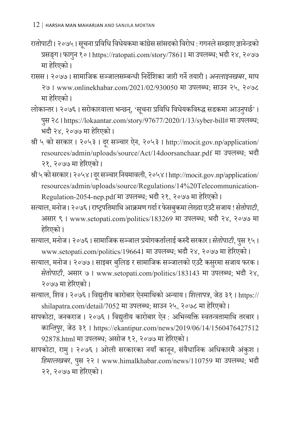- रातोपाटी। २०७५। सूचना प्रविधि विधेयकमा कांग्रेस सांसदको विरोध : गगनले सम्झाए ज्ञानेन्द्रको प्रसङ्ग। फागुन १० । https://ratopati.com/story/78611 मा उपलब्ध; भदौ २४, २०७७ मा हरेिएको ।
- रासस । २०७७ । सामाजिक सञ्जालसम्बन्धी निर्शदेिका जारी गर्नेतयारी । *अनलाइनखबर*, माघ २७ । www.onlinekhabar.com/2021/02/930050 मा उपलब्ध; साउन २५, २०७८ मा हरेिएको ।
- लोकान्तर । २०७६ । सरोकारवाला भन्छन्, 'सूचना प्रविधि विधेयकविरुद्ध सडकमा आउनुपर्छ' । पसु २८ । https://lokaantar.com/story/97677/2020/1/13/syber-bill# मा उपलब्ध; भदौ २४, २०७७ मा हरेिएको ।
- श्री ५ को सरकार । २०५३ । दूर सञ्चार ऐन, २०५३ । http://mocit.gov.np/application/ resources/admin/uploads/source/Act/14doorsanchaar.pdf मा उपलब्ध; भदौ २१, २०७७ मा हरेिएको ।
- श्री ५ को सरकार। २०५४। दूर सञ्चार नियमावली, २०५४। http://mocit.gov.np/application/ resources/admin/uploads/source/Regulations/14%20Telecommunication-Regulation-2054-nep.pdf मा उपलब्ध; भदौ २१, २०७७ मा हरेिएको ।
- सत्याल, मनोज । २०७६ । राष्ट्रपतिमाथि आक्रमण गर्दा र फेसबुकमा लेख्दा एउटै सजाय ! *सेतोपाटी*, असार ९ । www.setopati.com/politics/183269 मा उपलब्ध; भदौ २४, २०७७ मा हरेिएको ।
- सत्याल, मनोज । २०७६ । सामाजिक सञ्जाल प्रयोगकर्तालाई कस्दै सरकार । *सेतोपाटी*, पस १५ । ु www.setopati.com/politics/196641 मा उपलब्ध; भदौ २४, २०७७ मा हरेिएको ।
- सत्याल, मनोज । २०७७ । साइबर बुलिङ र सामाजिक सञ्जालको एउटै कसुरमा सजाय फरक । *सेतोपाटी*, असार ७ । www.setopati.com/politics/183143 मा उपलब्ध; भदौ २४, २०७७ मा हरेिएको ।
- सत्याल, शिव । २०७६ । विद्युतीय कारोबार ऐनमाथिको अन्याय । *शिलापत्र*, जेठ ३१ । https:// shilapatra.com/detail/7052 मा उपलब्ध; साउन २५, २०७८ मा हरेिएको ।
- सापकोटा, जनकराज । २०७६ । विद्युतीय कारोबार ऐन : अभिव्यक्ति स्वतन्त्रतामाथि तरबार । *कान्तिपुर,* जेठ ३१ । https://ekantipur.com/news/2019/06/14/1560476427512 92878.html मा उपलब्ध; असोज १२, २०७७ मा हरेिएको ।
- सापकोटा, रामु । २०७६ । ओली सरकारका नयाँ कानू न, सं वैधानिक अधिकारमै अं कुश । *हिमालखबर*, पसु २२ । www.himalkhabar.com/news/110759 मा उपलब्ध; भदौ २२, २०७७ मा हरेिएको ।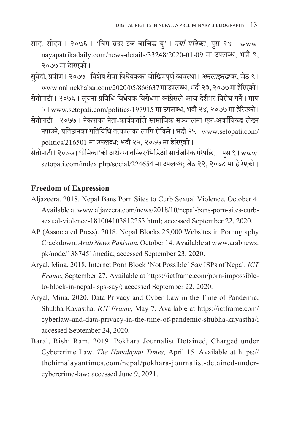साह, सोहन । २०७६ । 'बिग ब्रदर इज वाचिङ यु' । *नयाँ पत्रिका*, पु स २४ । www. nayapatrikadaily.com/news-details/33248/2020-01-09 मा उपलब्ध; भदौ ९, २०७७ मा हरेिएको ।

सवे ुदी, प्रवीण । २०७७ । विशेष सेवा विधेयकका जोखिमपर्ण ू व्यवस्था । *अनलाइनखबर*, जेठ ९ । www.onlinekhabar.com/2020/05/866637 मा उपलब्ध; भदौ २३, २०७७ मा हरेिएको ।

सेतोपाटी । २०७६ । सूचना प्रविधि विधेयक विरोधमा कांग्रेसले आज देशैभर विरोध गर्ने । माघ ५ । www.setopati.com/politics/197915 मा उपलब्ध; भदौ २४, २०७७ मा हरेिएको । सेतोपाटी । २०७७ । नेकपाका नेता-कार्यकर्ताले सामाजिक सञ्जालमा एक-अर्काविरुद्ध लेख्न

- नपाउने, प्रतिष्ठानका गतिविधि तत्कालका लागि रोकिने । भदौ २५ । www.setopati.com/ politics/216501 मा उपलब्ध; भदौ २५, २०७७ मा हरेिएको ।
- सेतोपाटी । २०७७ । **'**प्रेमिका'को अर्धनग्न तस्बिर/भिडिओ सार्वजनिक गरेपछि...। पस ९ । ु www. setopati.com/index.php/social/224654 मा उपलब्ध; जेठ २२, २०७८ मा हरेिएको ।

### **Freedom of Expression**

- Aljazeera. 2018. Nepal Bans Porn Sites to Curb Sexual Violence. October 4. Available at www.aljazeera.com/news/2018/10/nepal-bans-porn-sites-curbsexual-violence-181004103812253.html; accessed September 22, 2020.
- AP (Associated Press). 2018. Nepal Blocks 25,000 Websites in Pornography Crackdown. *Arab News Pakistan*, October 14. Available at www.arabnews. pk/node/1387451/media; accessed September 23, 2020.
- Aryal, Mina. 2018. Internet Porn Block 'Not Possible' Say ISPs of Nepal. *ICT Frame*, September 27. Available at https://ictframe.com/porn-impossibleto-block-in-nepal-isps-say/; accessed September 22, 2020.
- Aryal, Mina. 2020. Data Privacy and Cyber Law in the Time of Pandemic, Shubha Kayastha. *ICT Frame*, May 7. Available at https://ictframe.com/ cyberlaw-and-data-privacy-in-the-time-of-pandemic-shubha-kayastha/; accessed September 24, 2020.
- Baral, Rishi Ram. 2019. Pokhara Journalist Detained, Charged under Cybercrime Law. *The Himalayan Times,* April 15. Available at https:// thehimalayantimes.com/nepal/pokhara-journalist-detained-undercybercrime-law; accessed June 9, 2021.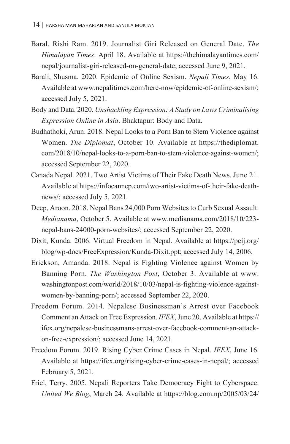- Baral, Rishi Ram. 2019. Journalist Giri Released on General Date. *The Himalayan Times*. April 18. Available at https://thehimalayantimes.com/ nepal/journalist-giri-released-on-general-date; accessed June 9, 2021.
- Barali, Shusma. 2020. Epidemic of Online Sexism. *Nepali Times*, May 16. Available at www.nepalitimes.com/here-now/epidemic-of-online-sexism/; accessed July 5, 2021.
- Body and Data. 2020. *Unshackling Expression: A Study on Laws Criminalising Expression Online in Asia*. Bhaktapur: Body and Data.
- Budhathoki, Arun. 2018. Nepal Looks to a Porn Ban to Stem Violence against Women. *The Diplomat*, October 10. Available at https://thediplomat. com/2018/10/nepal-looks-to-a-porn-ban-to-stem-violence-against-women/; accessed September 22, 2020.
- Canada Nepal. 2021. Two Artist Victims of Their Fake Death News. June 21. Available at https://infocannep.com/two-artist-victims-of-their-fake-deathnews/; accessed July 5, 2021.
- Deep, Aroon. 2018. Nepal Bans 24,000 Porn Websites to Curb Sexual Assault. *Medianama*, October 5. Available at www.medianama.com/2018/10/223 nepal-bans-24000-porn-websites/; accessed September 22, 2020.
- Dixit, Kunda. 2006. Virtual Freedom in Nepal. Available at https://pcij.org/ blog/wp-docs/FreeExpression/Kunda-Dixit.ppt; accessed July 14, 2006.
- Erickson, Amanda. 2018. Nepal is Fighting Violence against Women by Banning Porn. *The Washington Post*, October 3. Available at www. washingtonpost.com/world/2018/10/03/nepal-is-fighting-violence-againstwomen-by-banning-porn/; accessed September 22, 2020.
- Freedom Forum. 2014. Nepalese Businessman's Arrest over Facebook Comment an Attack on Free Expression. *IFEX*, June 20. Available at https:// ifex.org/nepalese-businessmans-arrest-over-facebook-comment-an-attackon-free-expression/; accessed June 14, 2021.
- Freedom Forum. 2019. Rising Cyber Crime Cases in Nepal. *IFEX*, June 16. Available at https://ifex.org/rising-cyber-crime-cases-in-nepal/; accessed February 5, 2021.
- Friel, Terry. 2005. Nepali Reporters Take Democracy Fight to Cyberspace. *United We Blog*, March 24. Available at https://blog.com.np/2005/03/24/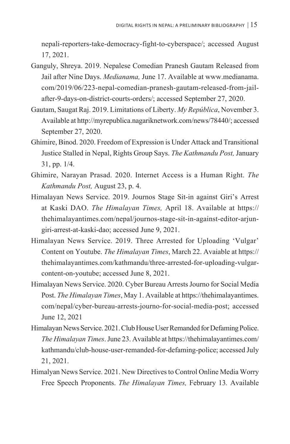nepali-reporters-take-democracy-fight-to-cyberspace/; accessed August 17, 2021.

- Ganguly, Shreya. 2019. Nepalese Comedian Pranesh Gautam Released from Jail after Nine Days. *Medianama,* June 17. Available at www.medianama. com/2019/06/223-nepal-comedian-pranesh-gautam-released-from-jailafter-9-days-on-district-courts-orders/; accessed September 27, 2020.
- Gautam, Saugat Raj. 2019. Limitations of Liberty. *My República*, November 3. Available at http://myrepublica.nagariknetwork.com/news/78440/; accessed September 27, 2020.
- Ghimire, Binod. 2020. Freedom of Expression is Under Attack and Transitional Justice Stalled in Nepal, Rights Group Says. *The Kathmandu Post,* January 31, pp. 1/4.
- Ghimire, Narayan Prasad. 2020. Internet Access is a Human Right. *The Kathmandu Post,* August 23, p. 4.
- Himalayan News Service. 2019. Journos Stage Sit-in against Giri's Arrest at Kaski DAO. *The Himalayan Times,* April 18. Available at https:// thehimalayantimes.com/nepal/journos-stage-sit-in-against-editor-arjungiri-arrest-at-kaski-dao; accessed June 9, 2021.
- Himalayan News Service. 2019. Three Arrested for Uploading 'Vulgar' Content on Youtube. *The Himalayan Times*, March 22. Avaiable at https:// thehimalayantimes.com/kathmandu/three-arrested-for-uploading-vulgarcontent-on-youtube; accessed June 8, 2021.
- Himalayan News Service. 2020. Cyber Bureau Arrests Journo for Social Media Post. *The Himalayan Times*, May 1. Available at https://thehimalayantimes. com/nepal/cyber-bureau-arrests-journo-for-social-media-post; accessed June 12, 2021
- Himalayan News Service. 2021. Club House User Remanded for Defaming Police. *The Himalayan Times*. June 23. Available at https://thehimalayantimes.com/ kathmandu/club-house-user-remanded-for-defaming-police; accessed July 21, 2021.
- Himalyan News Service. 2021. New Directives to Control Online Media Worry Free Speech Proponents. *The Himalayan Times,* February 13*.* Available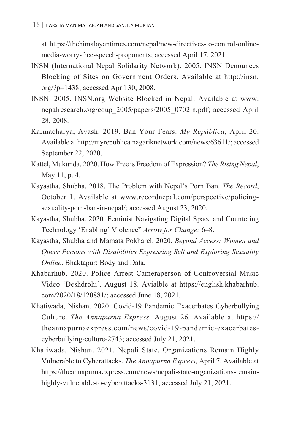at https://thehimalayantimes.com/nepal/new-directives-to-control-onlinemedia-worry-free-speech-proponents; accessed April 17, 2021

- INSN (International Nepal Solidarity Network). 2005. INSN Denounces Blocking of Sites on Government Orders. Available at http://insn. org/?p=1438; accessed April 30, 2008.
- INSN. 2005. INSN.org Website Blocked in Nepal. Available at www. nepalresearch.org/coup\_2005/papers/2005\_0702in.pdf; accessed April 28, 2008.
- Karmacharya, Avash. 2019. Ban Your Fears. *My República*, April 20. Available at http://myrepublica.nagariknetwork.com/news/63611/; accessed September 22, 2020.
- Kattel, Mukunda. 2020. How Free is Freedom of Expression? *The Rising Nepal*, May 11, p. 4.
- Kayastha, Shubha. 2018. The Problem with Nepal's Porn Ban. *The Record*, October 1. Available at www.recordnepal.com/perspective/policingsexuality-porn-ban-in-nepal/; accessed August 23, 2020.
- Kayastha, Shubha. 2020. Feminist Navigating Digital Space and Countering Technology 'Enabling' Violence" *Arrow for Change:* 6–8.
- Kayastha, Shubha and Mamata Pokharel. 2020. *Beyond Access: Women and Queer Persons with Disabilities Expressing Self and Exploring Sexuality Online*. Bhaktapur: Body and Data.
- Khabarhub. 2020. Police Arrest Cameraperson of Controversial Music Video 'Deshdrohi'. August 18. Avialble at https://english.khabarhub. com/2020/18/120881/; accessed June 18, 2021.
- Khatiwada, Nishan. 2020. Covid-19 Pandemic Exacerbates Cyberbullying Culture. *The Annapurna Express,* August 26*.* Available at https:// theannapurnaexpress.com/news/covid-19-pandemic-exacerbatescyberbullying-culture-2743; accessed July 21, 2021.
- Khatiwada, Nishan. 2021. Nepali State, Organizations Remain Highly Vulnerable to Cyberattacks. *The Annapurna Express*, April 7. Available at https://theannapurnaexpress.com/news/nepali-state-organizations-remainhighly-vulnerable-to-cyberattacks-3131; accessed July 21, 2021.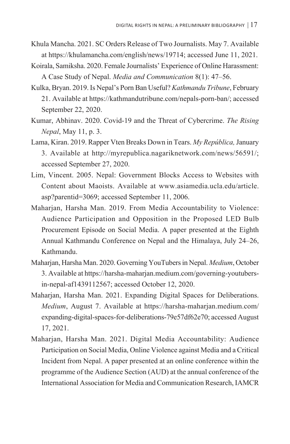- Khula Mancha. 2021. SC Orders Release of Two Journalists. May 7. Available at https://khulamancha.com/english/news/19714; accessed June 11, 2021.
- Koirala, Samiksha. 2020. Female Journalists' Experience of Online Harassment: A Case Study of Nepal. *Media and Communication* 8(1): 47–56.
- Kulka, Bryan. 2019. Is Nepal's Porn Ban Useful? *Kathmandu Tribune*, February 21. Available at https://kathmandutribune.com/nepals-porn-ban/; accessed September 22, 2020.
- Kumar, Abhinav. 2020. Covid-19 and the Threat of Cybercrime. *The Rising Nepal*, May 11, p. 3.
- Lama, Kiran. 2019. Rapper Vten Breaks Down in Tears. *My República,* January 3. Available at http://myrepublica.nagariknetwork.com/news/56591/; accessed September 27, 2020.
- Lim, Vincent. 2005. Nepal: Government Blocks Access to Websites with Content about Maoists. Available at www.asiamedia.ucla.edu/article. asp?parentid=3069; accessed September 11, 2006.
- Maharjan, Harsha Man. 2019. From Media Accountability to Violence: Audience Participation and Opposition in the Proposed LED Bulb Procurement Episode on Social Media. A paper presented at the Eighth Annual Kathmandu Conference on Nepal and the Himalaya, July 24–26, Kathmandu.
- Maharjan, Harsha Man. 2020. Governing YouTubers in Nepal. *Medium*, October 3. Available at https://harsha-maharjan.medium.com/governing-youtubersin-nepal-af1439112567; accessed October 12, 2020.
- Maharjan, Harsha Man. 2021. Expanding Digital Spaces for Deliberations. *Medium*, August 7. Available at https://harsha-maharjan.medium.com/ expanding-digital-spaces-for-deliberations-79e57df62e70; accessed August 17, 2021.
- Maharjan, Harsha Man. 2021. Digital Media Accountability: Audience Participation on Social Media, Online Violence against Media and a Critical Incident from Nepal. A paper presented at an online conference within the programme of the Audience Section (AUD) at the annual conference of the International Association for Media and Communication Research, IAMCR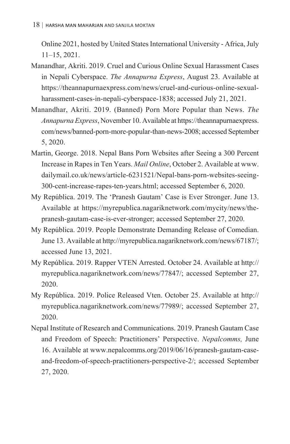Online 2021, hosted by United States International University - Africa, July 11–15, 2021.

- Manandhar, Akriti. 2019. Cruel and Curious Online Sexual Harassment Cases in Nepali Cyberspace. *The Annapurna Express*, August 23. Available at https://theannapurnaexpress.com/news/cruel-and-curious-online-sexualharassment-cases-in-nepali-cyberspace-1838; accessed July 21, 2021.
- Manandhar, Akriti. 2019. (Banned) Porn More Popular than News. *The Annapurna Express*, November 10. Available at https://theannapurnaexpress. com/news/banned-porn-more-popular-than-news-2008; accessed September 5, 2020.
- Martin, George. 2018. Nepal Bans Porn Websites after Seeing a 300 Percent Increase in Rapes in Ten Years. *Mail Online*, October 2. Available at www. dailymail.co.uk/news/article-6231521/Nepal-bans-porn-websites-seeing-300-cent-increase-rapes-ten-years.html; accessed September 6, 2020.
- My República. 2019. The 'Pranesh Gautam' Case is Ever Stronger. June 13. Available at https://myrepublica.nagariknetwork.com/mycity/news/thepranesh-gautam-case-is-ever-stronger; accessed September 27, 2020.
- My República. 2019. People Demonstrate Demanding Release of Comedian. June 13. Available at http://myrepublica.nagariknetwork.com/news/67187/; accessed June 13, 2021.
- My República. 2019. Rapper VTEN Arrested. October 24. Available at http:// myrepublica.nagariknetwork.com/news/77847/; accessed September 27, 2020.
- My República. 2019. Police Released Vten. October 25. Available at http:// myrepublica.nagariknetwork.com/news/77989/; accessed September 27, 2020.
- Nepal Institute of Research and Communications. 2019. Pranesh Gautam Case and Freedom of Speech: Practitioners' Perspective. *Nepalcomms,* June 16. Available at www.nepalcomms.org/2019/06/16/pranesh-gautam-caseand-freedom-of-speech-practitioners-perspective-2/; accessed September 27, 2020.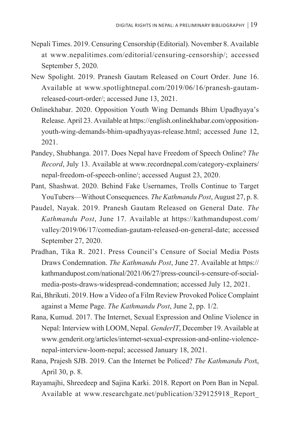- Nepali Times. 2019. Censuring Censorship (Editorial). November 8. Available at www.nepalitimes.com/editorial/censuring-censorship/; accessed September 5, 2020.
- New Spolight. 2019. Pranesh Gautam Released on Court Order. June 16. Available at www.spotlightnepal.com/2019/06/16/pranesh-gautamreleased-court-order/; accessed June 13, 2021.
- Onlinekhabar. 2020. Opposition Youth Wing Demands Bhim Upadhyaya's Release. April 23. Available at https://english.onlinekhabar.com/oppositionyouth-wing-demands-bhim-upadhyayas-release.html; accessed June 12, 2021.
- Pandey, Shubhanga. 2017. Does Nepal have Freedom of Speech Online? *The Record*, July 13. Available at www.recordnepal.com/category-explainers/ nepal-freedom-of-speech-online/; accessed August 23, 2020.
- Pant, Shashwat. 2020. Behind Fake Usernames, Trolls Continue to Target YouTubers—Without Consequences. *The Kathmandu Post*, August 27, p. 8.
- Paudel, Nayak. 2019. Pranesh Gautam Released on General Date. *The Kathmandu Post*, June 17. Available at https://kathmandupost.com/ valley/2019/06/17/comedian-gautam-released-on-general-date; accessed September 27, 2020.
- Pradhan, Tika R. 2021. Press Council's Censure of Social Media Posts Draws Condemnation. *The Kathmandu Post*, June 27. Available at https:// kathmandupost.com/national/2021/06/27/press-council-s-censure-of-socialmedia-posts-draws-widespread-condemnation; accessed July 12, 2021.
- Rai, Bhrikuti. 2019. How a Video of a Film Review Provoked Police Complaint against a Meme Page. *The Kathmandu Post*, June 2, pp. 1/2.
- Rana, Kumud. 2017. The Internet, Sexual Expression and Online Violence in Nepal: Interview with LOOM, Nepal. *GenderIT*, December 19. Available at www.genderit.org/articles/internet-sexual-expression-and-online-violencenepal-interview-loom-nepal; accessed January 18, 2021.
- Rana, Prajesh SJB. 2019. Can the Internet be Policed? *The Kathmandu Pos*t, April 30, p. 8.
- Rayamajhi, Shreedeep and Sajina Karki. 2018. Report on Porn Ban in Nepal. Available at www.researchgate.net/publication/329125918\_Report\_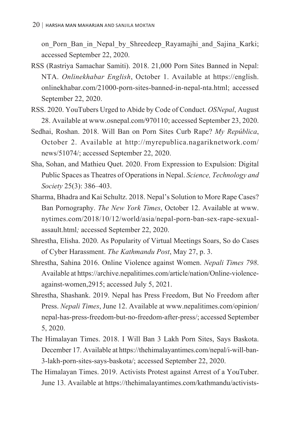on Porn Ban in Nepal by Shreedeep Rayamajhi and Sajina Karki; accessed September 22, 2020.

- RSS (Rastriya Samachar Samiti). 2018. 21,000 Porn Sites Banned in Nepal: NTA. *Onlinekhabar English*, October 1. Available at https://english. onlinekhabar.com/21000-porn-sites-banned-in-nepal-nta.html; accessed September 22, 2020.
- RSS. 2020. YouTubers Urged to Abide by Code of Conduct. *OSNepal*, August 28. Available at www.osnepal.com/970110; accessed September 23, 2020.
- Sedhai, Roshan. 2018. Will Ban on Porn Sites Curb Rape? *My República*, October 2. Available at http://myrepublica.nagariknetwork.com/ news/51074/; accessed September 22, 2020.
- Sha, Sohan, and Mathieu Quet. 2020. From Expression to Expulsion: Digital Public Spaces as Theatres of Operations in Nepal. *Science, Technology and Society* 25(3): 386–403.
- Sharma, Bhadra and Kai Schultz. 2018. Nepal's Solution to More Rape Cases? Ban Pornography. *The New York Times*, October 12. Available at www. nytimes.com/2018/10/12/world/asia/nepal-porn-ban-sex-rape-sexualassault.html*;* accessed September 22, 2020.
- Shrestha, Elisha. 2020. As Popularity of Virtual Meetings Soars, So do Cases of Cyber Harassment. *The Kathmandu Post*, May 27, p. 3.
- Shrestha, Sahina 2016. Online Violence against Women. *Nepali Times 798*. Available at https://archive.nepalitimes.com/article/nation/Online-violenceagainst-women,2915; accessed July 5, 2021.
- Shrestha, Shashank. 2019. Nepal has Press Freedom, But No Freedom after Press. *Nepali Times*, June 12. Available at www.nepalitimes.com/opinion/ nepal-has-press-freedom-but-no-freedom-after-press/; accessed September 5, 2020.
- The Himalayan Times. 2018. I Will Ban 3 Lakh Porn Sites, Says Baskota. December 17. Available at https://thehimalayantimes.com/nepal/i-will-ban-3-lakh-porn-sites-says-baskota/; accessed September 22, 2020.
- The Himalayan Times. 2019. Activists Protest against Arrest of a YouTuber. June 13. Available at https://thehimalayantimes.com/kathmandu/activists-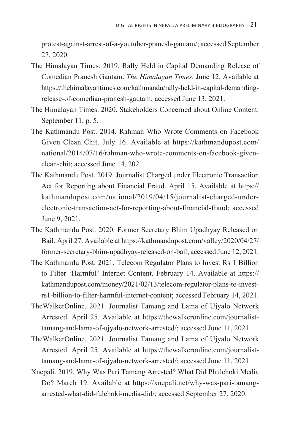protest-against-arrest-of-a-youtuber-pranesh-gautam/; accessed September 27, 2020.

- The Himalayan Times. 2019. Rally Held in Capital Demanding Release of Comedian Pranesh Gautam. *The Himalayan Times*. June 12. Available at https://thehimalayantimes.com/kathmandu/rally-held-in-capital-demandingrelease-of-comedian-pranesh-gautam; accessed June 13, 2021.
- The Himalayan Times. 2020. Stakeholders Concerned about Online Content. September 11, p. 5.
- The Kathmandu Post. 2014. Rahman Who Wrote Comments on Facebook Given Clean Chit. July 16. Available at https://kathmandupost.com/ national/2014/07/16/rahman-who-wrote-comments-on-facebook-givenclean-chit; accessed June 14, 2021.
- The Kathmandu Post. 2019. Journalist Charged under Electronic Transaction Act for Reporting about Financial Fraud. April 15. Available at https:// kathmandupost.com/national/2019/04/15/journalist-charged-underelectronic-transaction-act-for-reporting-about-financial-fraud; accessed June 9, 2021.
- The Kathmandu Post. 2020. Former Secretary Bhim Upadhyay Released on Bail. April 27. Available at https://kathmandupost.com/valley/2020/04/27/ former-secretary-bhim-upadhyay-released-on-bail; accessed June 12, 2021.
- The Kathmandu Post. 2021. Telecom Regulator Plans to Invest Rs 1 Billion to Filter 'Harmful' Internet Content. February 14. Available at https:// kathmandupost.com/money/2021/02/13/telecom-regulator-plans-to-investrs1-billion-to-filter-harmful-internet-content; accessed February 14, 2021.
- TheWalkerOnline. 2021. Journalist Tamang and Lama of Ujyalo Network Arrested. April 25. Available at https://thewalkeronline.com/journalisttamang-and-lama-of-ujyalo-network-arrested/; accessed June 11, 2021.
- TheWalkerOnline. 2021. Journalist Tamang and Lama of Ujyalo Network Arrested. April 25. Available at https://thewalkeronline.com/journalisttamang-and-lama-of-ujyalo-network-arrested/; accessed June 11, 2021.
- Xnepali. 2019. Why Was Pari Tamang Arrested? What Did Phulchoki Media Do? March 19. Available at https://xnepali.net/why-was-pari-tamangarrested-what-did-fulchoki-media-did/; accessed September 27, 2020.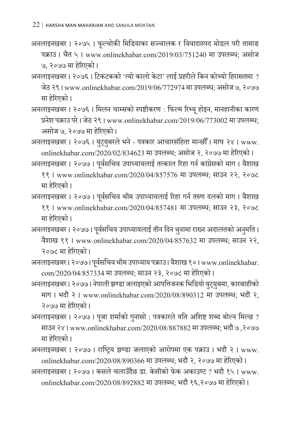- अनलाइनखबर । २०७५ । फूल्चोकी मिडियाका सञ्चालक र विवादास्पद मोडल परी तामाङ पक्राउ । चैत ५ । www.onlinekhabar.com/2019/03/751240 मा उपलब्ध; असोज ७, २०७७ मा हरेिएको ।
- अनलाइनखबर । २०७६ । टिकटकको 'त्यो कालो केटा' लाई प्रहरीले किन कोच्यो हिरासतमा ? जेठ २९ । www.onlinekhabar.com/2019/06/772974 मा उपलब्ध; असोज ७, २०७७ मा हरेिएको ।
- अनलाइनखबर । २०७६ । मिलन चाम्सको स्पष्टीकरण : फिल्म रिभ्यू होइन, मानहानीका कारण प्रनेश पक्राउ परे । जेठ २९ । www.onlinekhabar.com/2019/06/773002 मा उपलब्ध; असोज ७, २०७७ मा हरेिएको ।
- अनलाइनखबर । २०७६ । युट्युबरले भने पत्रकार आचारसंहिता मान्छौँ । माघ २४ । www. onlinekhabar.com/2020/02/834623 मा उपलब्ध; असोज २, २०७७ मा हरेिएको ।

अनलाइनखबर । २०७७ । पूर्वसचिव उपाध्यायलाई तत्काल रिहा गर्न कांग्रेसको माग । वैशाख ११ । www.onlinekhabar.com/2020/04/857576 मा उपलब्ध; साउन २२, २०७८ मा हरेिएको ।

- अनलाइनखबर । २०७७ । पूर्वसचिव भीम उपाध्यायलाई रिहा गर्न तरुण दलको माग । वैशाख ११ । www.onlinekhabar.com/2020/04/857481 मा उपलब्ध; साउन २३, २०७८ मा हरेिएको ।
- अनलाइनखबर । २०७७ । पूर्वसचिव उपाध्यायलाई तीन दिन थुनामा राख्न अदालतको अनुमति । ु वैशाख ११ । www.onlinekhabar.com/2020/04/857632 मा उपलब्ध; साउन २२, २०७८ मा हरेिएको ।
- अनलाइनखबर । २०७७। पूर्वसचिव भीम उपाध्याय पक्राउ। वैशाख १०। www.onlinekhabar. com/2020/04/857334 मा उपलब्ध; साउन २३, २०७८ मा हरेिएको ।
- अनलाइनखबर । २०७७ । नेपाली झण्डा जलाइएको आपत्तिजनक भिडियो यटु् यबमा, कारबाहीको ु माग । भदौ २ । www.onlinekhabar.com/2020/08/890312 मा उपलब्ध; भदौ २, २०७७ मा हरेिएको ।
- अनलाइनखबर । २०७७ । पूजा शर्माको गुनासो : पत्रकारले यति अशिष्ट शब्द बोल्न मिल्छ ? साउन २४ । www.onlinekhabar.com/2020/08/887882 मा उपलब्ध; भदौ ७ ,२०७७ मा हरेिएको ।
- अनलाइनखबर । २०७७ । राष्ट्रिय झण्डा जलाएको आरोपमा एक पक्राउ । भदौ २ । www. onlinekhabar.com/2020/08/890366 मा उपलब्ध; भदौ २, २०७७ मा हरेिएको ।
- अनलाइनखबर । २०७७ । कसले चलाउँदैछ डा. केसीको फेक अकाउण्ट ? भदौ १५ । www. onlinekhabar.com/2020/08/892882 मा उपलब्ध; भदौ १६,२०७७ मा हरेिएको ।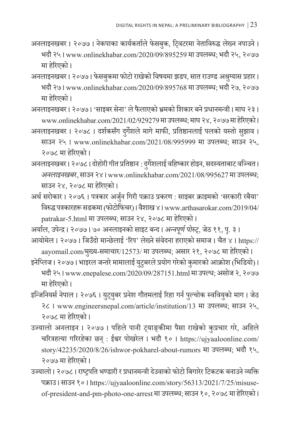- अनलाइनखबर । २०७७ । नेकपाका कार्यकर्ताले फेसबुक, ट्विटरमा नेताविरुद्ध लेख्न नपाउने । भदौ २५ । www.onlinekhabar.com/2020/09/895259 मा उपलब्ध; भदौ २५, २०७७ मा हरेिएको ।
- अनलाइनखबर । २०७७ । फेसबुकमा फोटो राखेको विषयमा झडप, सात राउण्ड अश्रुग्यास प्रहार । भदौ २७ । www.onlinekhabar.com/2020/09/895768 मा उपलब्ध; भदौ २७, २०७७ मा हरेिएको ।
- अनलाइनखबर । २०७७ । 'साइबर सेना' लेफै लाएको भ्रमको शिकार बने प्रधानमन्त्री । माघ २३ । www.onlinekhabar.com/2021/02/929279 मा उपलब्ध; माघ २४, २०७७ मा हरेिएको ।
- अनलाइनखबर । २०७८ । दर्शकसँग दर्गेशले मागे माफी, प्रतिष्ठानलाई पलको यस्तो सुझाव । साउन २५ । www.onlinekhabar.com/2021/08/995999 मा उपलब्ध; साउन २५, २०७८ मा हरेिएको ।
- अनलाइनखबर । २०७८ । दोहोरी गीत प्रतिष्ठान: दर्गेशु लाई वहिष्कार होइन, सदस्यताबाट वञ्चित । *अनलाइनखबर*, साउन २४ । www.onlinekhabar.com/2021/08/995627 मा उपलब्ध; साउन २४, २०७८ मा हरेिएको ।
- अर्थ सरोकार । २०७६ । पत्रकार अर्जुन गिरी पक्राउ प्रकरण : साइबर क्राइमको 'सरकारी रबैया' विरुद्ध पत्रकारहरू सडकमा (फोटोफिचर) । वशै ाख ४ । www.arthasarokar.com/2019/04/ patrakar-5.html मा उपलब्ध; साउन २४, २०७८ मा हरेिएको ।
- अर्याल, उपेन्द्र । २०७७ । ७० अनलाइनको साइट बन्द । *अन्नपर्ण पोस्ट*, जेठ ११, पृ. ३ । आयोमेल । २०७७ । जिउँदो मान्छेलाई 'रिप' लेख्ने संवेदना हराएको समाज । चैत ४ । https://

aayomail.com/मखु्य-समाचार/12573/ मा उपलब्ध; असार २१, २०७८ मा हरेिएको ।

इनेप्लिज । २०७७ । भाइरल जन्तरे मामालाई यटुु बरले प्रयोग गरेको कुमारको आक्रोश (भिडियो) । भदौ २५ । www.enepalese.com/2020/09/287151.html मा उपल्ध; असोज २, २०७७ मा हरेिएको ।

- इन्जिनियर्स नेपाल । २०७६ । युट्युबर प्रनेश गौतमलाई रिहा गर्न पुल्चोक स्ववियुको माग । जेठ २८ । www.engineersnepal.com/article/institution/13 मा उपलब्ध; साउन २५, २०७८ मा हरेिएको ।
- उज्यालो अनलाइन । २०७७ । पहिले पानी ट्याङ्कीमा पैसा राखेको कुप्रचार गरे, अहिले चरित्रहत्या गरिरहेका छन् : ईश्वर पोखरेल । भदौ १० । https://ujyaaloonline.com/ story/42235/2020/8/26/ishwor-pokharel-about-rumors मा उपलब्ध; भदौ १५, २०७७ मा हरेिएको ।
- उज्यालो । २०७८ । राष्ट्रपति भण्डारी र प्रधानमन्त्री दउेवाको फोटो बिगारेर टिकटक बनाउने व्यक्ति पक्राउ । साउन १० । https://ujyaaloonline.com/story/56313/2021/7/25/misuseof-president-and-pm-photo-one-arrest मा उपलब्ध; साउन १०, २०७८ मा हरेिएको ।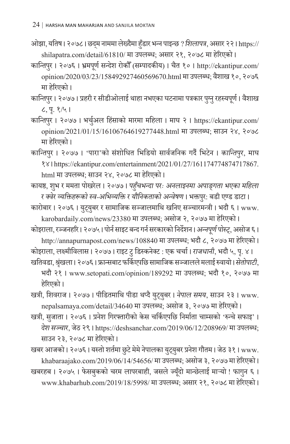ओझा, यतिष । २०७८ । छद्म नाममा लेख्दैमा हुँडार भन्न पाइन्छ ? *शिलापत्र*, असार २२ । https:// shilapatra.com/detail/61810/ मा उपलब्ध; असार २१, २०७८ मा हरेिएको ।

कान्तिपुर । २०७६ । भ्रमपूर्ण सन्देश रोकौँ (सम्पादकीय) । चैत १० । http://ekantipur.com/ opinion/2020/03/23/158492927460569670.html मा उपलब्ध; वशै ाख १०, २०७६ मा हरेिएको ।

कान्तिपुर। २०७७। प्रहरी र सीडीओलाई थाहा नभएका घटनामा पत्रकार पुग्नु रहस्यपूर्ण। वैशाख ८, प. १/५ । ृ

कान्तिपुर । २०७७ । भर्चुअल हिंसाको मारमा महिला । माघ २ । https://ekantipur.com/ opinion/2021/01/15/16106764619277448.html मा उपलब्ध; साउन २४, २०७८ मा हरेिएको ।

कान्तिपुर । २०७७ । 'पारा'को सं शोधित भिडियो सार्वजनिक गर्दै भिटेन । *कान्तिपुर*, माघ १४ । https://ekantipur.com/entertainment/2021/01/27/161174774874717867. html मा उपलब्ध; साउन २४, २०७८ मा हरेिएको ।

कायष्ठ, शुभ र ममता पोखरेल । २०७७ । *पहुँचभन्दा परः अनलाइनमा अपाङ्गता भएका महिला* र *क्वेर व्यक्तिहरूको स्व-अभिव्यक्ति र यौनिकताको अन्वेषण* । भक्तपुर: बडी एण्ड डाटा ।

कारोबार । २०७६ । युट्युबर र सामाजिक सञ्जालमाथि खनिए सञ्चारमन्त्री । भदौ ६ । www. karobardaily.com/news/23380 मा उपलब्ध; असोज २, २०७७ मा हरेिएको ।

कोइराला, रञ्जनहरि । २०७५ । पोर्न साइट बन्द गर्न सरकारको निर्देशन । *अन्नपूर्ण पोस्ट्,* असोज ६ । http://annapurnapost.com/news/108840 मा उपलब्ध; भदौ ८, २०७७ मा हरेिएको ।

कोइराला, लक्ष्मीविलास । २०७७ । राइट टुडिस्कनेक्ट : एक चर्चा । *राजधानी*, भदौ ५, प. ४ । ृ खतिवडा, श्रृंखला । २०७६ । फ्रान्सबाट फर्किएपछि सामाजिक सञ्जालले मलाई रुवायो । *सेतोपाटी*,

भदौ २१ । www.setopati.com/opinion/189292 मा उपलब्ध; भदौ १०, २०७७ मा हरेिएको ।

खत्री, शिवराज । २०७७ । पीडितमाथि पीडा थप्दै यटु् यबर । ु *नेपाल समय*, साउन २३ । www. nepalsamaya.com/detail/34640 मा उपलब्ध; असोज ३, २०७७ मा हरेिएको ।

खत्री, सजुाता । २०७६ । प्रनेश गिरफ्तारीको केस चर्किएपछि निर्माता चाम्सको 'रुन्चे सफाइ' । *दशे सञ्चार*, जेठ २९ । https://deshsanchar.com/2019/06/12/208969/ मा उपलब्ध; साउन २३, २०७८ मा हरेिएको ।

खबर आजको । २०७६ । यस्तो शर्तमा छुटे मेमे नेपालका युट्युबर प्रनेश गौतम । जेठ ३१ । www. khabaraajako.com/2019/06/14/54656/ मा उपलब्ध; असोज ३, २०७७ मा हरेिएको ।

खबरहब । २०७५ । फेसबुकको चरम लापरबाही, जसले ज्यूँदो मान्छेलाई माऱ्यो ! फागुन ६ । ु www.khabarhub.com/2019/18/5998/ मा उपलब्ध; असार २१, २०७८ मा हरेिएको ।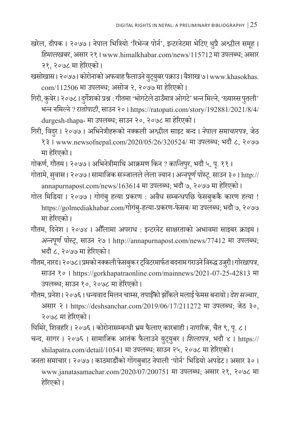खरेल, दीपक । २०७७ । नेपाल भित्रियो 'रिभेन्ज पोर्न', इन्टरनेटमा भेटिए थुप्रै अश्लील समूह । ू *हिमालखबर*, असार २१ । www.himalkhabar.com/news/115712 मा उपलब्ध; असार २१, २०७८ मा हरेिएको ।

खसोखास। २०७७। कोरोनाको अफवाह फैलाउने युट्युबर पक्राउ। वैशाख ७। www.khasokhas. com/112506 मा उपलब्ध; असोज २, २०७७ मा हरेिएको ।

गिरी, कुवेर । २०७८ । दुर्गेशको प्रश्न : गीतमा 'भोगटेले ठाउँमात्र ओगटे' भन्न मिल्ने, 'ख्यास्स पुतली' भन्न नमिल्ने ? *रातोपाटी*, साउन २० । https://ratopati.com/story/192881/2021/8/4/ durgesh-thapa- मा उपलब्ध; साउन २०, २०७८ मा हरेिएको ।

गिरी, विदर । २०७७ । अभिनेत्रीहरूको नक्कली अश्लील साइट बन्द । *नेपाल समाचारपत्र*, जेठ १३ । www.newsofnepal.com/2020/05/26/320524/ मा उपलब्ध; भदौ ८, २०७७ मा हरेिएको ।

गोकर्ण, गौतम । २०७७ । अभिनेत्रीमाथि आक्रमण किन*? कान्तिपुर*, भदौ ५, पृ. ११ ।

गोतामे, सुवास । २०७७ । सामाजिक सञ्जालले लेला ज्यान । *अन्नपूर्ण पोस्ट्,* साउन ३० । http:// annapurnapost.com/news/163614 मा उपलब्ध; भदौ ७, २०७७ मा हरेिएको ।

गोल मिडिया । २०७७ । गोगंबु हत्या प्रकरण : अवैध सम्बन्धपछि फेसबुककै कारण हत्या ! https://golmediakhabar.com/गोगंबु-हत्या-प्रकरण-फेसब/ मा उपलब्ध; भदौ ७, २०७७ मा हरेिएको ।

गौतम, दिनेश । २०७४ । औँलामा अपराध : इन्टरनेट साक्षरताको अभावमा साइबर क्राइम । *अन्नपरू पोस ्ण ्ट्*, साउन २७ । http://annapurnapost.com/news/77412 मा उपलब्ध; भदौ ८, २०७७ मा हरेिएको ।

गौतम, नारद। २०७८। प्रमको नक्कली फेसबुक र ट्विटरमार्फत बदनाम गराउने विरुद्ध उजुरी।*गोरखापत्र*, साउन १० । https://gorkhapatraonline.com/mainnews/2021-07-25-42813 मा उपलब्ध; साउन १०, २०७८ मा हरेिएको ।

गौतम, प्रनेश। २०७६। धन्यवाद मिलन चाम्स, तपाईँको झोँकले मलाई फेमस बनायो। *देश सञ्चार*, असार २ । https://deshsanchar.com/2019/06/17/211272 मा उपलब्ध; जेठ ३०, २०७८ मा हरेिएको ।

घिमिरे, शिवहरि । २०७६ । कोरोनासम्बन्धी भ्रम फै लाए कारबाही । *नागरिक*, चैत ९, प. ८ । ृ

चन्द, सागर । २०७६ । सामाजिक आतं क फै लाउने यटु् यबर । ु *शिलापत्र*, भदौ ४ । https:// shilapatra.com/detail/10541 मा उपलब्ध; साउन २५, २०७८ मा हरेिएको ।

जनता समाचार । २०७७ । काठमाडौंको गोंगबबाट नेपाली 'पोर्न' भिडियो अपडेट । असार ३० । www.janatasamachar.com/2020/07/200751 मा उपलब्ध; असार २१, २०७८ मा हरेिएको ।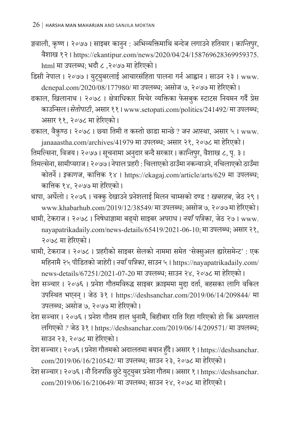- ज्ञवाली, कृष्ण । २०७७ । साइबर कानुन : अभिव्यक्तिमाथि बन्देज लगाउने हतियार । *कान्तिपुर,* वैशाख १२ । https://ekantipur.com/news/2020/04/24/158769628369959375. html मा उपलब्ध; भदौ ८ ,२०७७ मा हरेिएको ।
- डिसी नेपाल । २०७७ । युट्युबरलाई आचारसंहिता पालना गर्न आह्वान । साउन २३ । www. dcnepal.com/2020/08/177980/ मा उपलब्ध; असोज ७, २०७७ मा हरेिएको ।
- ढकाल, खिलानाथ । २०७८ । क्षेत्राधिकार मिचेर व्यक्तिका फेसबुक स्टाटस नियमन गर्दै प्रेस काउन्सिल । *सेतोपाटी*, असार ११ । www.setopati.com/politics/241492/ मा उपलब्ध; असार ११, २०७८ मा हरेिएको ।
- ढकाल, वैकुण्ठ । २०७८ । छ्या तिमी त कस्तो छाडा मान्छे ? *जन आस्था*, असार ५ । www. janaaastha.com/archives/41979 मा उपलब्ध; असार २१, २०७८ मा हरेिएको ।

तिमल्सिना, विजय। २०७७। सूचनामा अनुदार बन्दै सरकार। *कान्तिपुर*, वैशाख ८, पृ. ३।

- तिमल्सेना, सामीप्यराज । २०७७ ।नेपाल प्रहरी : चिलाएको ठाउँमानकन्याउने, नचिलाएको ठाउँमा कोतर्ने। *इकागज*, कात्तिक १४ । https://ekagaj.com/article/arts/629 मा उपलब्ध; कात्तिक १४, २०७७ मा हरेिएको ।
- थापा, अर्घेलो । २०७६ । चक्कु देखाउने प्रनेशलाई मिलन चाम्सको दण्ड ! *खबरहब*, जेठ २९ । www.khabarhub.com/2019/12/38549/ मा उपलब्ध; असोज ७, २०७७ मा हरेिएको ।
- थामी, टेकराज । २०७८ । निषेधाज्ञामा बढ् यो साइबर अपराध । *नयाँ पत्रिका*, जेठ २७ । www. nayapatrikadaily.com/news-details/65419/2021-06-10; मा उपलब्ध; असार २१, २०७८ मा हरेिएको ।

थामी, टेकराज । २०७८ । प्रहरीको साइबर सेलको नाममा समेत 'सेक्सुअल ह्यारेसमेन्ट' : एक महिनामै २५ पीडितको जाहरी । े *नयाँ पत्रिका*, साउन ५ । https://nayapatrikadaily.com/ news-details/67251/2021-07-20 मा उपलब्ध; साउन २४, २०७८ मा हरेिएको ।

- देश सञ्चार । २०७६ । प्रनेश गौतमविरुद्ध साइबर क्राइममा मुद्दा दर्ता, बहसका लागि वकिल उपस्थित भएनन् । जेठ ३१ । https://deshsanchar.com/2019/06/14/209844/ मा उपलब्ध; असोज ७, २०७७ मा हरेिएको ।
- देश सञ्चार । २०७६ । प्रनेश गौतम हाल थुनामै, बिहीबार राति रिहा गरिएको हो कि अस्पताल लगिएको*?* जेठ ३१ । https://deshsanchar.com/2019/06/14/209571/ मा उपलब्ध; साउन २३, २०७८ मा हरेिएको ।
- देश सञ्चार । २०७६ । प्रनेश गौतमको अदालतमा बयान हुँदै । असार १ । https://deshsanchar. com/2019/06/16/210542/ मा उपलब्ध; साउन २३, २०७८ मा हरेिएको ।
- देश सञ्चार । २०७६ । नौ दिनपछि छुटे युट्युबर प्रनेश गौतम । असार १ । https://deshsanchar. com/2019/06/16/210649/ मा उपलब्ध; साउन २४, २०७८ मा हरेिएको ।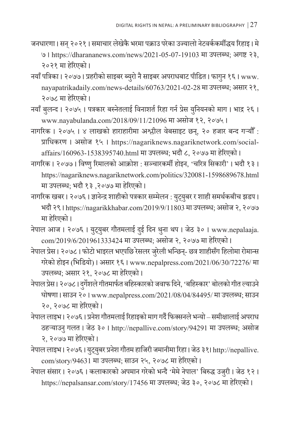- जनधारणा । सन् २०२१ । समाचार लेखेकै भरमा पक्राउ परेका उज्यालो नेटवर्ककर्मीद्धय रिहाइ । मे ७ । https://dharananews.com/news/2021-05-07-19103 मा उपलब्ध; अगष्ट २३, २०२१ मा हरेिएको ।
- नयाँ पत्रिका । २०७७ । प्रहरीको साइबर ब्युरो नै साइबर अपराधबाट पीडित । फागुन १६ । www. nayapatrikadaily.com/news-details/60763/2021-02-28 मा उपलब्ध; असार २१, २०७८ मा हरेिएको ।
- नयाँ बुलन्द । २०७५ । पत्रकार बस्नेतलाई विनाशर्त रिहा गर्न प्रेस युनियनको माग । भाद्र २६ । www.nayabulanda.com/2018/09/11/21096 मा असोज १२, २०७५ ।
- नागरिक । २०७५ । ४ लाखको हाराहारीमा अश्लील वेबसाइट छन्, २० हजार बन्द गऱ्यौँ : प्राधिकरण । असोज १५ । https://nagariknews.nagariknetwork.com/socialaffairs/160963-1538395740.html मा उपलब्ध; भदौ ८, २०७७ मा हरेिएको ।
- नागरिक । २०७७ । विष्णु रिमालको आक्रोश : सञ्चारकर्मी होइन, 'चरित्र सिकारी' । भदौ १३ । https://nagariknews.nagariknetwork.com/politics/320081-1598689678.html मा उपलब्ध; भदौ १३ ,२०७७ मा हरेिएको ।
- नागरिक खबर । २०७६ । ज्ञानेन्द्र शाहीको पत्रकार सम्मेलन : युट्युबर र शाही समर्थकबीच झडप । भदौ २९ । https://nagarikkhabar.com/2019/9/11803 मा उपलब्ध; असोज २, २०७७ मा हरेिएको ।
- नेपाल आज । २०७६ । युट्युबर गौतमलाई दुई दिन थुना थप । जेठ ३० । www.nepalaaja. com/2019/6/201961333424 मा उपलब्ध; असोज २, २०७७ मा हरेिएको ।
- नेपाल प्रेस। २०७८। फोटो भाइरल भएपछि रेसलर जुरेली भन्छिन्- छत्र शाहीसँग हिलोमा रोमान्स गरेको होइन (भिडियो) । असार १६ । www.nepalpress.com/2021/06/30/72276/ मा उपलब्ध; असार २१, २०७८ मा हरेिएको ।
- नेपाल प्रेस। २०७८। दर्गेशले गीतमार्फत बहिस्कारको जवाफ दिने, 'बहिस्कार' बोलको गीत ल्याउने घोषणा । साउन २० । www.nepalpress.com/2021/08/04/84495/ मा उपलब्ध; साउन २०, २०७८ मा हरेिएको ।
- नेपाल लाइभ । २०७६ । प्रनेश गौतमलाई रिहाइको माग गर्दै फिक्सनले भन्यो– समीक्षालाई अपराध ठहऱ्याउन् गलत । जेठ ३० । http://nepallive.com/story/94291 मा उपलब्ध; असोज २, २०७७ मा हरेिएको ।
- नेपाल लाइभ । २०७६ । यटु् यबर प्रन ु ेश गौतम हाजिरी जमानीमा रिहा । जेठ ३१। http://nepallive. com/story/94631 मा उपलब्ध; साउन २५, २०७८ मा हरेिएको ।
- नेपाल संसार । २०७६ । कलाकारको अपमान गरेको भन्दै 'मेमे नेपाल' बिरुद्ध उजुरी । जेठ १२ । https://nepalsansar.com/story/17456 मा उपलब्ध; जेठ ३०, २०७८ मा हरेिएको ।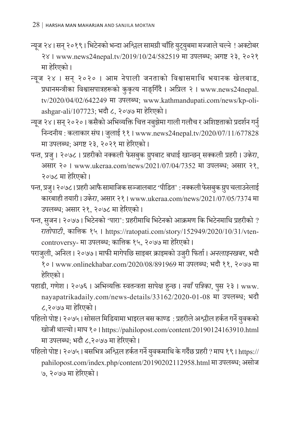न्यूज २४। सन् २०१९। भिटेनको भन्दा अश्लिल सामग्री चाँहि युट्युबमा मज्जाले चल्ने ! अक्टोबर २४ । www.news24nepal.tv/2019/10/24/582519 मा उपलब्ध; अगष्ट २३, २०२१ मा हरेिएको ।

- न्यूज २४ । सन् २०२० । आम नेपाली जनताको विश्वासमाथि भयानक खेलबाड, प्रधानमन्त्रीका विश्वासपात्रहरूको कुकृत्य नाङ्गिँदै । अप्रिल २ । www.news24nepal. tv/2020/04/02/642249 मा उपलब्ध; www.kathmandupati.com/news/kp-oliashgar-ali/107723; भदौ ८, २०७७ मा हरेिएको ।
- न्यूज २४। सन् २०२०। कसैको अभिव्यक्ति चित्त नबुझेमा गाली गलौच र अशिष्टताको प्रदर्शन गर्नु निन्दनीय : कलाकार संघ । जुलाई ११ । www.news24nepal.tv/2020/07/11/677828 मा उपलब्ध; अगष्ट २३, २०२१ मा हरेिएको ।
- पन्त, प्रजु । २०७८ । प्रहरीको नक्कली फेसबुक ग्रुपबाट बधाई खान्छन् सक्कली प्रहरी । *उकेरा*, असार २० । www.ukeraa.com/news/2021/07/04/7352 मा उपलब्ध; असार २१, २०७८ मा हरेिएको ।
- पन्त, प्रज् । २०७८ । प्रहरी आफै सामाजिक सञ्जालबाट 'पीडित' : नक्कली फेसब्क ग्र्प चलाउनेलाई कारबाही तयारी । *उके रा*, असार २१ । www.ukeraa.com/news/2021/07/05/7374 मा उपलब्ध; असार २१, २०७८ मा हरेिएको ।
- पन्त, सजुन। २०७७ । भिटेनको 'पारा': प्रहरीमाथि भिटेनको आक्रमण कि भिटेनमाथि प्रहरीको ? *रातोपाटी*, कात्तिक १५ । https://ratopati.com/story/152949/2020/10/31/vtencontroversy- माउपलब्ध; कात्तिक १५, २०७७ मा हरेिएको ।
- पराजुली, अनिल । २०७७ । माफी मागेपछि साइबर क्राइमको उजुरी फिर्ता । *अनलाइनखबर*, भदौ १० । www.onlinekhabar.com/2020/08/891969 मा उपलब्ध; भदौ ११, २०७७ मा हरेिएको ।
- पहाडी, गणेश । २०७६ । अभिव्यक्ति स्वतन्त्रता सापेक्ष हुन्छ । *नयाँ पत्रिका*, पस २३ । www. ु nayapatrikadaily.com/news-details/33162/2020-01-08 मा उपलब्ध; भदौ ८,२०७७ मा हरेिएको ।
- पहिलो पोष्ट । २०७५ । सोसल मिडियामा भाइरल बस काण्ड : प्रहरीले अश्लील हर्कत गर्ने यवुकको खोजी थाल्यो । माघ १० । https://pahilopost.com/content/20190124163910.html मा उपलब्ध; भदौ ८,२०७७ मा हरेिएको ।
- पहिलो पोष्ट। २०७५। बसभित्र अश्चिल हर्कत गर्ने युवकमाथि के गर्दैछ प्रहरी ? माघ १९। https:// pahilopost.com/index.php/content/20190202112958.html मा उपलब्ध; असोज ७, २०७७ मा हरेिएको ।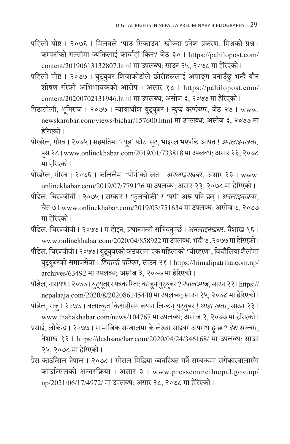- पहिलो पोष्ट । २०७६ । मिलनले 'पाठ सिकाउन' खोज्दा प्रनेश प्रकरण, मिश्रको प्रश्न : कम्पनीको गल्तीमा व्यक्तिलाई कार्वाही किन? जेठ ३० । https://pahilopost.com/ content/20190613132807.html मा उपलब्ध; साउन २५, २०७८ मा हरेिएको ।
- पहिलो पोष्ट । २०७७ । युट्युबर शिवाकोटीले छोरीहरूलाई अपाङ्ग बनाउँछु भन्दै यौन शोषण गरेको अभिभावकको आरोप । असार १८ । https://pahilopost.com/ content/20200702131946.html मा उपलब्ध; असोज ३, २०७७ मा हरेिएको ।
- पिठातोली, भूमिराज । २०७७ । न्यायाधीश यु ट्यु बर । *न्युज कारोबार*, जेठ २७ । www. newskarobar.com/views/bichar/157600.html मा उपलब्ध; असोज ३, २०७७ मा हरेिएको ।
- पोखरेल, गौरव । २०७५ । सहमतिमा 'न्यूड' फोटो सुट, भाइरल भएपछि आपत ! *अनलाइनखबर,* पुस २८ I www.onlinekhabar.com/2019/01/733818 मा उपलब्ध; असार २३, २०७८ मा हरेिएको ।
- पोखरेल, गौरव । २०७६ । कलिलैमा 'पोर्न'को लत । *अनलाइनखबर*, असार २३ । www. onlinekhabar.com/2019/07/779126 मा उपलब्ध; असार २३, २०७८ मा हरेिएको ।
- पौडेल, चिरञ्जीवी । २०७५ । सरकार ! 'फुलचोकी' र 'परी' अरू पनि छन् । *अनलाइनखबर*, चैत ७ । www.onlinekhabar.com/2019/03/751634 मा उपलब्ध; असोज ७, २०७७ मा हरेिएको ।
- पौडेल, चिरञ्जीवी । २०७७ । म होइन, प्रधानमन्त्री सच्चिनपुर्छ । *अनलाइनखबर*, वैशाख १६ । www.onlinekhabar.com/2020/04/858922 मा उपलब्ध; भदौ ७ ,२०७७ मा हरेिएको ।
- पौडेल, चिरञ्जीवी। २०७७। युट्युबरको कठघरामा एक महिलाको 'चीरहरण', विचौलिया शैलीमा यटु् यबरको समा ु जसेवा । *हिमाली पत्रिका*, साउन २१ । https://himalipatrika.com.np/ archives/63492 मा उपलब्ध; असोज ३, २०७७ मा हरेिएको ।
- पौडेल, नारायण। २०७७। युट्यूबर र पत्रकारिता: को हुन युट्यूबर ? *नेपालआज,* साउन २२। https:// nepalaaja.com/2020/8/202086145440 मा उपलब्ध; साउन २५, २०७८ मा हरेिएको ।
- पौडेल, राजु । २०७७ । बलात्कृत किशोरीसँग बयान लिन्छन् युट्युबर ! *थाहा खबर*, साउन २३ । www.thahakhabar.com/news/104767 मा उपलब्ध; असोज २, २०७७ मा हरेिएको ।
- प्रसाई, लोकेन्द्र । २०७७ । सामाजिक सन्जालमा के लेख्दा साइबर अपराध हुन्छ ? *दशे सञ्चार*, वैशाख १२ । https://deshsanchar.com/2020/04/24/346168/ मा उपलब्ध; साउन २५, २०७८ मा हरेिएको ।
- प्रेस काउन्सिल नेपाल । २०७८ । सोसल मिडिया व्यवस्थित गर्ने सम्बन्धमा सरोकारवालासँग काउन्सिलको अन्तरक्रिया । असार ३ । www.presscouncilnepal.gov.np/ np/2021/06/17/4972/ मा उपलब्ध; असार २८, २०७८ मा हरेिएको ।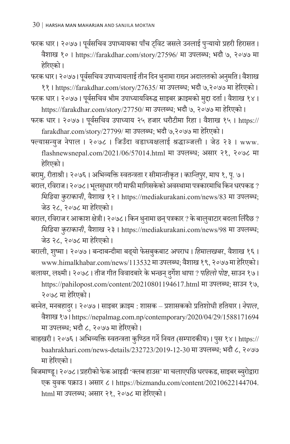फरक धार। २०७७। पूर्वसचिव उपाध्यायका पाँच ट्विट जसले उनलाई पुऱ्यायो प्रहरी हिरासत। वैशाख १० । https://farakdhar.com/story/27596/ मा उपलब्ध; भदौ ७, २०७७ मा हरेिएको ।

फरक धार। २०७७। पूर्वसचिव उपाध्यायलाई तीन दिन थुनामा राख्न अदालतको अनुमति। वैशाख ११ । https://farakdhar.com/story/27635/ मा उपलब्ध; भदौ ७,२०७७ मा हरेिएको ।

फरक धार । २०७७ । पूर्वसचिव भीम उपाध्यायविरुद्ध साइबर क्राइमको मुद्दा दर्ता । वैशाख १४ । https://farakdhar.com/story/27750/ मा उपलब्ध; भदौ ७, २०७७ मा हरेिएको ।

- फरक धार । २०७७ । पर्व ूसचिव उपाध्याय २५ हजार धरौटीमा रिहा । वैशाख १५ । https:// farakdhar.com/story/27799/ मा उपलब्ध; भदौ ७,२०७७ मा हरेिएको ।
- फ्ल्यासन्युज नेपाल । २०७८ । जिउँदा वडाध्यक्षलाई श्रद्धाञ्जली । जेठ २३ । www. flashnewsnepal.com/2021/06/57014.html मा उपलब्ध; असार २१, २०७८ मा हरेिएको ।

बरामु, रीताश्री । २०७६ । अभिव्यक्ति स्वतन्त्रता र सीमान्तीकृत । *कान्तिपुर*, माघ १, पृ. ७ ।

- बराल, रविराज। २०७८। भूलसुधार गरी माफी मागिसकेको अवस्थामा पत्रकारमाथि किन धरपकड ? *मिडिया कुराकानी*, वैशाख १२ । https://mediakurakani.com/news/83 मा उपलब्ध; जेठ २८, २०७८ मा हरेिएको ।
- बराल, रविराज र आकाश क्षेत्री। २०७८। किन थुनामा छन् पत्रकार ? के बालुवाटार बदला लिँदैछ ? *मिडिया कुराकानी*, वैशाख २३ । https://mediakurakani.com/news/98 मा उपलब्ध; जेठ २८, २०७८ मा हरेिएको ।

बराली, शुष्मा । २०७७ । बन्दाबन्दीमा बढ्यो फेसबुकबाट अपराध । *हिमालखबर*, वैशाख १६ । www.himalkhabar.com/news/113532 मा उपलब्ध; वैशाख १९, २०७७ मा हेरिएको ।

- बलायर, लक्ष्मी । २०७८ । तीज गीत विवादबारे के भन्छन् <u>द</u>ुर्गेश थापा ? *पहिलो पोष्ट,* साउन १७ । https://pahilopost.com/content/20210801194617.html मा उपलब्ध; साउन १७, २०७८ मा हरेिएको ।
- बस्नेत, मनबहादर । २०७७ । साइबर ु क्राइम : शासक प्रशासकको प्रतिशोधी हतियार । *नेपाल*, वशै ाख १७ । https://nepalmag.com.np/contemporary/2020/04/29/1588171694 मा उपलब्ध; भदौ ८, २०७७ मा हरेिएको ।
- बाह्रखरी । २०७६ । अभिव्यक्ति स्वतन्त्रता कुण्ठित गर्नेनियत (सम्पादकीय) । पस १४ । https:// ु baahrakhari.com/news-details/232723/2019-12-30 मा उपलब्ध; भदौ ८, २०७७ मा हरेिएको ।
- बिजमाण्डू। २०७८। प्रहरीको फेक आइडी 'क्लब हाउस' मा चलाएपछि धरपकड, साइबर ब्युरोद्वारा एक यवुक पक्राउ । असार ८ । https://bizmandu.com/content/20210622144704. html मा उपलब्ध; असार २१, २०७८ मा हरेिएको ।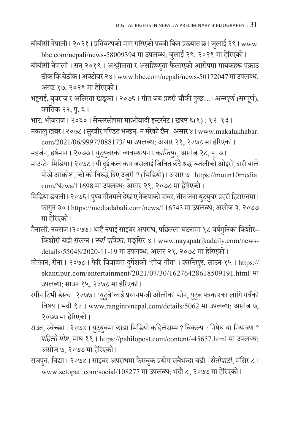- बीबीसी नेपाली। २०२१। प्रतिबन्धको माग गरिएको पब्जी किन प्रख्यात छ। जुलाई २९। www. bbc.com/nepali/news-58009394 मा उपलब्ध; जुलाई २९, २०२१ मा हेरिएको ।
- बीबीसी नेपाली । सन् २०१९ । अश्लीलता र असहिष्णुता फैलाएको आरोपमा गायकहरू पक्राउ ठीक कि बेठीक। अक्टोबर २४। www.bbc.com/nepali/news-50172047 मा उपलब्ध; अगष्ट १७, २०२१ मा हरेिएको ।
- भट्टराई, युवराज र अस्मिता खड्का । २०७६ । गीत जब प्रहरी चौकी पुग्छ...। *अन्नपूर्ण (*सम्पूर्ण), कात्तिक २२, पृ. ६ ।
- भाट, भोजराज । २०६० । सेन्सरसीपमा माओवादी इन्टरनेट । *खबर* ६(१) : १२–१३ ।
- मकालु खबर । २०७८ । सुरवीर पण्डित भन्छन्- म मरेको छैन । असार ४ । www.makalukhabar.
- com/2021/06/99977088173/ मा उपलब्ध; असार २१, २०७८ मा हरेिएको । महर्जन, हर्षमान । २०७७ । युट्युबरको व्यवस्थापन । *कान्तिपुर*, असोज २८, पृ. ७ ।
- माउन्टेन मिडिया। २०७८। यी दुई कलाकार जसलाई जिवित छँदै श्रद्धाञ्जलीको ओइरो, दारी बाले पोखे आक्रोश, को को विरुद्ध दिए उजुरी ? (भिडियो)। असार ७। https://moun10media. com/News/11698 मा उपलब्ध; असार २१, २०७८ मा हरेिएको ।
- मिडिया डबली। २०७६। पुण्य गौतमले देखाए नेकपाको पावर, तीन जना युट्युबर प्रहरी हिरासतमा। फागुन ३० । https://mediadabali.com/news/116743 मा उपलब्ध; असोज ३, २०७७ मा हरेिएको ।
- मैनाली, नवराज ।२०७७ । थाहै नपाई साइबर अपराध, पछिल्ला घटनामा १८ वर्षमनिका किशोर– किशोरी बढी सं लग्न । *नयाँ पत्रिका*, मङ्सिर ४ । www.nayapatrikadaily.com/newsdetails/55048/2020-11-19 मा उपलब्ध; असार २१, २०७८ मा हरेिएको ।
- मोक्तान, रीना । २०७८ । फेरि विवादमा दुर्गेशको 'तीज गीत' । *कान्तिपुर,* साउन १५ । https:// ekantipur.com/entertainment/2021/07/30/16276428618509191.html मा उपलब्ध; साउन १५, २०७८ मा हरेिएको ।
- रं गीन टिभी डेस्क । २०७७ । 'यटुु बे'लाई प्रधानमन्त्री ओलीको फोन, यटुु ब पत्रकारका लागि गर्वको विषय । भदौ १० । www.rangintvnepal.com/details/5062 मा उपलब्ध; असोज ७, २०७७ मा हरेिएको ।
- राउत, स्वेच्छा। २०७४। युट्युबमा छाडा भिडियो कहिलेसम्म ? विकल्प : निषेध या नियन्त्रण ? *पहिलो पोष्ट*, माघ ११ । https://pahilopost.com/content/-45657.html मा उपलब्ध; असोज ७, २०७७ मा हरेिएको ।
- राजपुत, विद्या । २०७४ । साइबर अपराधमा फेसबुक प्रयोग सबैभन्दा बढी । *सेतोपाटी,* मंसिर ८ । www.setopati.com/social/108277 मा उपलब्ध; भदौ ८, २०७७ मा हरेिएको ।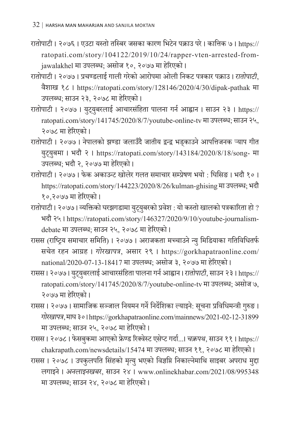- रातोपाटी । २०७६ । एउटा यस्तो तस्बिर जसका कारण भिटेन पक्राउ परे । कात्तिक ७ । https:// ratopati.com/story/104122/2019/10/24/rapper-vten-arrested-fromjawalakhel मा उपलब्ध; असोज १०, २०७७ मा हरेिएको ।
- रातोपाटी । २०७७ । प्रचण्डलाई गाली गरेको आरोपमा ओली निकट पत्रकार पक्राउ । *रातोपाटी*, वैशाख १८ । https://ratopati.com/story/128146/2020/4/30/dipak-pathak मा उपलब्ध; साउन २३, २०७८ मा हरेिएको ।
- रातोपाटी । २०७७ । युट्युबरलाई आचारसंहिता पालना गर्न आह्वान । साउन २३ । https:// ratopati.com/story/141745/2020/8/7/youtube-online-tv मा उपलब्ध; साउन २५, २०७८ मा हरेिएको ।
- रातोपाटी । २०७७ । नेपालको झण्डा जलाउँदै जातीय द्वन्द्व भड्काउने आपत्तिजनक ऱ्याप गीत यु ट्यु बमा । भदौ २ । https://ratopati.com/story/143184/2020/8/18/song- मा उपलब्ध; भदौ २, २०७७ मा हरेिएको ।
- रातोपाटी । २०७७ । फेक अकाउन्ट खोलेर गलत समाचार सम्प्रेषण भयो : घिसिङ । भदौ १० । https://ratopati.com/story/144223/2020/8/26/kulman-ghising मा उपलब्ध; भदौ १०,२०७७ मा हरेिएको ।
- रातोपाटी। २०७७। व्यक्तिको घरझगडामा युट्युबरको प्रवेश : यो कस्तो खालको पत्रकारिता हो ? भदौ २५ । https://ratopati.com/story/146327/2020/9/10/youtube-journalismdebate मा उपलब्ध; साउन २५, २०७८ मा हरेिएको ।
- रासस (राष्ट्रिय समाचार समिति) । २०७७ । अराजकता मच्चाउने न्यु मिडियाका गतिविधितर्फ सचेत रहन आग्रह । *गोरखापत्र*, असार २९ । https://gorkhapatraonline.com/ national/2020-07-13-18417 मा उपलब्ध; असोज ३, २०७७ मा हरेिएको ।
- रासस। २०७७। युट्युबरलाई आचारसंहिता पालना गर्न आह्वान। *रातोपाटी*, साउन २३। https:// ratopati.com/story/141745/2020/8/7/youtube-online-tv मा उपलब्ध; असोज ७, २०७७ मा हरेिएको ।
- रासस । २०७७ । सामाजिक सञ्जाल नियमन गर्ने निर्देशिका ल्याइने: सूचना प्रविधिमन्त्री गुरुङ । ु *गोरखापत्र*, माघ ३० । https://gorkhapatraonline.com/mainnews/2021-02-12-31899 मा उपलब्ध; साउन २५, २०७८ मा हरेिएको ।
- रासस । २०७८ । फेसबकमा आएको फ्रेण्ड रिक्वेस्ट एसेप्ट गर्दा...। *चक्रपथ,* साउन ११ । https:// chakrapath.com/newsdetails/15474 मा उपलब्ध; साउन ११, २०७८ मा हरेिएको ।
- रासस । २०७८ । उपकुलपति सिंहको मृत्यु भएको विज्ञप्ति निकाल्नेमाथि साइबर अपराध मुद्दा लगाइने । *अनलाइनखबर*, साउन २४ । www.onlinekhabar.com/2021/08/995348 मा उपलब्ध; साउन २४, २०७८ मा हरेिएको ।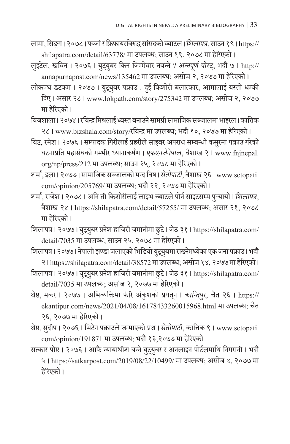- लामा, सिडग । २०७८ । पब्जी र फ्रिफायरविरुद्ध सांसदको ब्याटल । *शिलापत्र*, साउन १९ । https:// shilapatra.com/detail/63778/ मा उपलब्ध; साउन १९, २०७८ मा हरेिएको ।
- लुइटेल, खविन । २०७६ । युट्युबर किन जिम्मेवार नबन्ने ? *अन्नपूर्ण पोस्ट्,* भदौ ७ । http:// annapurnapost.com/news/135462 मा उपलब्ध; असोज २, २०७७ मा हरेिएको ।
- लोकपथ डटकम । २०७७ । युट्युबर पक्राउ : दुई किशोरी बलात्कार, आमालाई यस्तो धर्म्क दिए । असार २८ । www.lokpath.com/story/275342 मा उपलब्ध; असोज २, २०७७ मा हरेिएको ।
- विजशाला । २०७४ । रविन्द्र मिश्रलाई ध्वस्त बनाउने सामग्री सामाजिक सञ्जालमा भाइरल । कात्तिक २८ । www.bizshala.com/story/रविन्द्र मा उपलब्ध; भदौ १०, २०७७ मा हरेिएको ।
- विष्ट, रमेश । २०७६ । सम्पादक गिरीलाई प्रहरीले साइबर अपराध सम्बन्धी कसरमा पक्राउ गरेको घटनाप्रति महासंघको गम्भीर ध्यानाकर्षण । *एफएनजेनेपाल,* वैशाख २ । www.fnjnepal. org/np/press/212 मा उपलब्ध; साउन २५, २०७८ मा हरेिएको ।
- शर्मा, इला । २०७७ । सामाजिक सञ्जालको मन्दविष। *सेतोपाटी*, वैशाख २६ । www.setopati. com/opinion/205769/ मा उपलब्ध; भदौ २२, २०७७ मा हरेिएको ।
- शर्मा, राजेश । २०७८ । अनि ती किशोरीलाई लाइभ च्याटले पोर्न साइटसम्म पुऱ्यायो । *शिलापत्र*, वैशाख २४ । https://shilapatra.com/detail/57255/ मा उपलब्ध; असार २१, २०७८ मा हरेिएको ।
- शिलापत्र। २०७७। युट्युबर प्रनेश हाजिरी जमानीमा छुटे। जेठ ३१। https://shilapatra.com/ detail/7035 मा उपलब्ध; साउन २५, २०७८ मा हरेिएको ।
- शिलापत्र। २०७७। नेपाली झण्डा जलाएको भिडियो युट्युबमा राख्नेमध्येका एक जना पक्राउ। भदौ २ । https://shilapatra.com/detail/38572 मा उपलब्ध; असोज १४, २०७७ मा हरेिएको ।
- शिलापत्र। २०७७। युट्युबर प्रनेश हाजिरी जमानीमा छुटे। जेठ ३१। https://shilapatra.com/ detail/7035 मा उपलब्ध; असोज २, २०७७ मा हरेिएको ।
- श्रेष्ठ, मकर । २०७७ । अभिव्यक्तिमा फेरि अं कुशको प्रयतन । ् *कान्तिपर ु*, चैत २६ । https:// ekantipur.com/news/2021/04/08/16178433260015968.html मा उपलब्ध; चैत २६, २०७७ मा हरेिएको ।
- श्रेष्ठ, सदीप । २०७६ । ु भिटेन पक्राउलेजन्माएको प्रश्न । *सेतोपाटी*, कात्तिक ९ । www.setopati. com/opinion/191871 मा उपलब्ध; भदौ १३,२०७७ मा हरेिएको ।
- सत्कार पोष्ट । २०७६ । आफै न्यायाधीश बन्ने युट्युबर र अनलाइन पोर्टलमाथि निगरानी । भदौ ५ । https://satkarpost.com/2019/08/22/10499/ मा उपलब्ध; असोज ४, २०७७ मा हरेिएको ।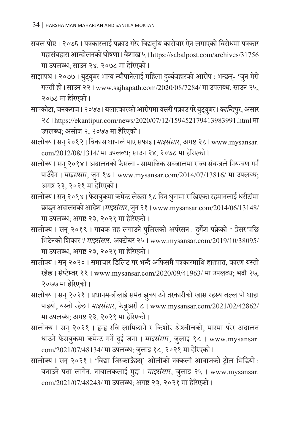- सबल पोष्ट । २०७६ । पत्रकारलाई पक्राउ गरेर विद्यतीय कारोबार ऐन लगाएको विरोधमा पत्रकार महासंघद्वारा आन्दोलनको घोषणा । वैशाख ५ । https://sabalpost.com/archives/31756 मा उपलब्ध; साउन २४, २०७८ मा हरेिएको ।
- साझापथ । २०७७ । युट्युबर भाग्य न्यौपानेलाई महिला दुर्व्यवहारको आरोप : भन्छन्- 'जुन मेरो गल्ती हो । साउन २२ । www.sajhapath.com/2020/08/7284/ मा उपलब्ध; साउन २५, २०७८ मा हरेिएको ।
- सापकोटा, जनकराज । २०७७ । बलात्कारको आरोपमा यसरी पक्राउ परे यटु् यबर । ु *कान्तिपर ु*, असार २८ । https://ekantipur.com/news/2020/07/12/159452179413983991.html मा उपलब्ध; असोज २, २०७७ मा हरेिएको ।
- सालोक्य | सन् २०१२ | विकास थापाले पाए सफाइ | *माइसंसार,* अगष्ट २८ | www.mysansar. com/2012/08/1314/ मा उपलब्ध; साउन २४, २०७८ मा हरेिएको ।
- सालोक्य । सन् २०१४ । अदालतको फैसला सामाजिक सञ्जालमा राज्य संयन्त्रले नियन्त्रण गर्न पाउँदैन । *माइसंसा*र, जुन १७ । www.mysansar.com/2014/07/13816/ मा उपलब्ध; अगष्ट २३, २०२१ मा हरेिएको ।
- सालोक्य । सन् २०१४ । फेसबुकमा कमेन्ट लेख्दा १८ दिन थुनामा राखिएका रहमानलाई धरौटीमा छाड्न अदालतको आदेश।*माइसंसार*, जुन २१। www.mysansar.com/2014/06/13148/ मा उपलब्ध; अगष्ट २३, २०२१ मा हरेिएको ।
- सालोक्य । सन् २०१९ । गायक तह लगाउने पुलिसको अपरेसन : दुर्गेश पक्रेको ' प्रेसर'पछि भिटेनको शिकार ? *माइसं सार*, अक्टोबर २५ । www.mysansar.com/2019/10/38095/ मा उपलब्ध; अगष्ट २३, २०२१ मा हरेिएको ।
- सालोक्य । सन् २०२० । समाचार डिलिट गर भन्दै अफिसमै पत्रकारमाथि हातपात, कारण यस्तो रहेछ । सेप्टेम्बर ११ । www.mysansar.com/2020/09/41963/ मा उपलब्ध; भदौ २७, २०७७ मा हरेिएको ।
- सालोक्य । सन् २०२१ । प्रधानमन्त्रीलाई समेत झक्याउने तरकारीको खास रहस्य बल्ल पो थाहा पाइयो, यस्तो रहेछ । *माइसंसार*, फेब्रुअरी ८ । www.mysansar.com/2021/02/42862/ मा उपलब्ध; अगष्ट २३, २०२१ मा हरेिएको ।
- सालोक्य । सन् २०२१ । द्वन्द्व रवि लामिछाने र किशोर श्रेष्ठबीचको, मारमा परेर अदालत धाउने फेसबुकमा कमेन्ट गर्ने दुई जना । *माइसंसार*, जुलाइ १८ । www.mysansar.  $com/2021/07/48134/$  मा उपलब्ध; जुलाइ १८, २०२१ मा हेरिएको ।
- सालोक्य । सन् २०२१ । 'विद्या जिस्काउँछस्' ओलीको नक्कली आवाजको ट्रोल भिडियो : बनाउने पत्ता लागेन, नाबालकलाई मुद्दा । *माइसं सार*, जु लाइ २५ । www.mysansar. com/2021/07/48243/ मा उपलब्ध; अगष्ट २३, २०२१ मा हरेिएको ।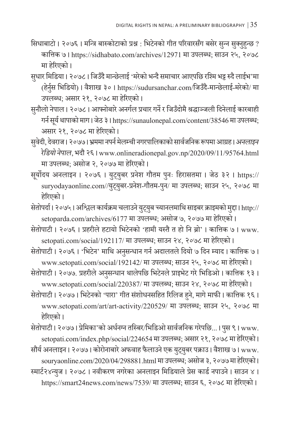- सिधाबाटो । २०७६ । मन्त्रि बास्कोटाको प्रश्न : भिटेनको गीत परिवारसँग बसेर सुन्न सुक्नुहुन्छ ? कात्तिक ७ । https://sidhabato.com/archives/12971 मा उपलब्ध; साउन २५, २०७८ मा हरेिएको ।
- सुधार मिडिया। २०७८। जिउँदै मान्छेलाई 'मरेको भन्दै समाचार आएपछि रश्मि भट्ट रुदै लाईभ'मा (हेर्नुस भिडियो) । वैशाख ३० । https://sudursanchar.com/जिउँदै-मान्छेलाई-मरेको/ मा उपलब्ध; असार २१, २०७८ मा हरेिएको ।
- सुनौलो नेपाल। २०७८। आफ्नोबारे अनर्गल प्रचार गर्ने र जिउँदोमै श्रद्धाञ्जली दिनेलाई कारबाही गर्न सर्य ू थापाको माग । जेठ ३ । https://sunaulonepal.com/content/38546 मा उपलब्ध; असार २१, २०७८ मा हरेिएको ।
- सुवेदी, देवराज I २०७७ I भ्रममा नपर्न मेलम्ची नगरपालिकाको सार्वजनिक रूपमा आग्रह I *अनलाइन रेडियो नेपाल*, भदौ २६ । www.onlineradionepal.gov.np/2020/09/11/95764.html मा उपलब्ध; असोज २, २०७७ मा हरेिएको ।
- सूर्योदय अनलाइन । २०७६ । युट्युबर प्रनेश गौतम पुनः हिरासतमा । जेठ ३२ । https:// suryodayaonline.com//युट्युबर-प्रनेश-गौतम-पुन/ मा उपलब्ध; साउन २५, २०७८ मा हरेिएको ।
- सेतोपर्दा । २०७५ । अश्चिल कार्यक्रम चलाउने युट्युब च्यानलमाथि साइबर क्राइमको मुद्दा । http:// setoparda.com/archives/6177 मा उपलब्ध; असोज ७, २०७७ मा हरेिएको ।
- सेतोपाटी । २०७६ । प्रहरीले हटायो भिटेनको 'हामी यस्तैत हो नि ब्रो' । कात्तिक ७ । www. setopati.com/social/192117/ मा उपलब्ध; साउन २४, २०७८ मा हरेिएको ।
- सेतोपाटी । २०७६ । 'भिटेन' माथि अनुसन्धान गर्न अदालतले दियो ७ दिन म्याद । कात्तिक ७ । www.setopati.com/social/192142/ मा उपलब्ध; साउन २५, २०७८ मा हरेिएको ।
- सेतोपाटी । २०७७. प्रहरीले अनुसन्धान थालेपछि भिटेनले प्राइभेट गरे भिडिओ । कात्तिक १३ । www.setopati.com/social/220387/ मा उपलब्ध; साउन २४, २०७८ मा हरेिएको ।
- सेतोपाटी । २०७७ । भिटेनको 'पारा' गीत सं शोधनसहित रिलिज हु ने, मागे माफी । कात्तिक १६ । www.setopati.com/art/art-activity/220529/ मा उपलब्ध; साउन २५, २०७८ मा हरेिएको ।

सेतोपाटी । २०७७ । प्रेमिका'को अर्धनग्न तस्बिर/भिडिओ सार्वजनिक गरेपछि... । पस ९ । www. ु setopati.com/index.php/social/224654 मा उपलब्ध; असार २१, २०७८ मा हरेिएको ।

सौर्य अनलाइन। २०७७। कोरोनाबारे अफवाह फैलाउने एक युट्युबर पक्राउ। वैशाख ७। www. souryaonline.com/2020/04/298881.html मा उपलब्ध; असोज ३, २०७७ मा हरेिएको । स्मार्ट२४न्युज । २०७८ । नवीकरण नगरेका अनलाइन मिडियालेप्रेस कार्ड नपाउने । साउन ४ । https://smart24news.com/news/7539/ मा उपलब्ध; साउन ६, २०७८ मा हरेिएको ।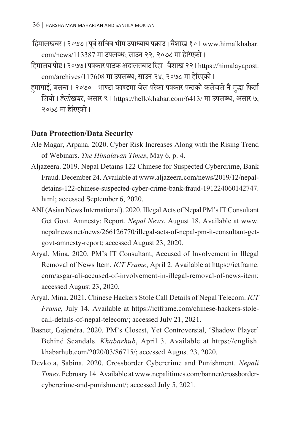हिमालखबर । २०७७ । पर्व ू सचिव भीम उपाध्याय पक्राउ । वैशाख १० । www.himalkhabar. com/news/113387 मा उपलब्ध; साउन २२, २०७८ मा हरेिएको ।

- हिमालय पोष्ट । २०७७ । पत्रकार पाठक अदालतबाट रिहा । वशै ाख २२ । https://himalayapost. com/archives/117608 मा उपलब्ध; साउन २४, २०७८ मा हरेिएको ।
- हुमागाई, बसन्त । २०७० । भाण्टा काण्डमा जेल परेका पत्रकार पन्तको कलेजले नै मुद्धा पि लियो । *हेलोखबर*, असार ९ । https://hellokhabar.com/6413/ मा उपलब्ध; असार ७, २०७८ मा हरेिएको ।

#### **Data Protection/Data Security**

- Ale Magar, Arpana. 2020. Cyber Risk Increases Along with the Rising Trend of Webinars. *The Himalayan Times*, May 6, p. 4.
- Aljazeera. 2019. Nepal Detains122 Chinese for Suspected Cybercrime, Bank Fraud. December 24. Available at www.aljazeera.com/news/2019/12/nepaldetains-122-chinese-suspected-cyber-crime-bank-fraud-191224060142747. html; accessed September 6, 2020.
- ANI (Asian News International). 2020. Illegal Acts of Nepal PM's IT Consultant Get Govt. Amnesty: Report. *Nepal News*, August 18. Available at www. nepalnews.net/news/266126770/illegal-acts-of-nepal-pm-it-consultant-getgovt-amnesty-report; accessed August 23, 2020.
- Aryal, Mina. 2020. PM's IT Consultant, Accused of Involvement in Illegal Removal of News Item. *ICT Frame*, April 2. Available at https://ictframe. com/asgar-ali-accused-of-involvement-in-illegal-removal-of-news-item; accessed August 23, 2020.
- Aryal, Mina. 2021. Chinese Hackers Stole Call Details of Nepal Telecom. *ICT Frame,* July 14. Available at https://ictframe.com/chinese-hackers-stolecall-details-of-nepal-telecom/; accessed July 21, 2021.
- Basnet, Gajendra. 2020. PM's Closest, Yet Controversial, 'Shadow Player' Behind Scandals. *Khabarhub*, April 3. Available at https://english. khabarhub.com/2020/03/86715/; accessed August 23, 2020.
- Devkota, Sabina. 2020. Crossborder Cybercrime and Punishment. *Nepali Times*, February 14. Available at www.nepalitimes.com/banner/crossbordercybercrime-and-punishment/; accessed July 5, 2021.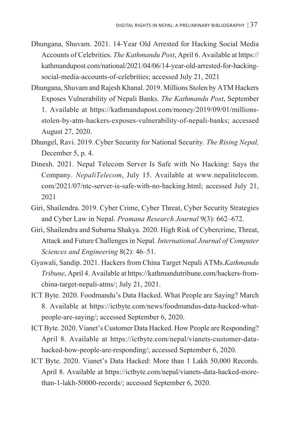- Dhungana, Shuvam. 2021. 14-Year Old Arrested for Hacking Social Media Accounts of Celebrities. *The Kathmandu Post*, April 6. Available at https:// kathmandupost.com/national/2021/04/06/14-year-old-arrested-for-hackingsocial-media-accounts-of-celebrities; accessed July 21, 2021
- Dhungana, Shuvam and Rajesh Khanal. 2019. Millions Stolen by ATM Hackers Exposes Vulnerability of Nepali Banks. *The Kathmandu Post*, September 1. Available at https://kathmandupost.com/money/2019/09/01/millionsstolen-by-atm-hackers-exposes-vulnerability-of-nepali-banks; accessed August 27, 2020.
- Dhungel, Ravi. 2019. Cyber Security for National Security. *The Rising Nepal,* December 5, p. 4.
- Dinesh. 2021. Nepal Telecom Server Is Safe with No Hacking: Says the Company. *NepaliTelecom*, July 15. Available at www.nepalitelecom. com/2021/07/ntc-server-is-safe-with-no-hacking.html; accessed July 21, 2021
- Giri, Shailendra. 2019. Cyber Crime, Cyber Threat, Cyber Security Strategies and Cyber Law in Nepal. *Pramana Research Journal* 9(3): 662–672.
- Giri, Shailendra and Subarna Shakya. 2020. High Risk of Cybercrime, Threat, Attack and Future Challenges in Nepal. *International Journal of Computer Sciences and Engineering* 8(2): 46–51.
- Gyawali, Sandip. 2021. Hackers from China Target Nepali ATMs.*Kathmandu Tribune*, April 4. Available at https://kathmandutribune.com/hackers-fromchina-target-nepali-atms/; July 21, 2021.
- ICT Byte. 2020. Foodmandu's Data Hacked. What People are Saying? March 8. Available at https://ictbyte.com/news/foodmandus-data-hacked-whatpeople-are-saying/; accessed September 6, 2020.
- ICT Byte. 2020. Vianet's Customer Data Hacked. How People are Responding? April 8. Available at https://ictbyte.com/nepal/vianets-customer-datahacked-how-people-are-responding/; accessed September 6, 2020.
- ICT Byte. 2020. Vianet's Data Hacked: More than 1 Lakh 50,000 Records. April 8. Available at https://ictbyte.com/nepal/vianets-data-hacked-morethan-1-lakh-50000-records/; accessed September 6, 2020.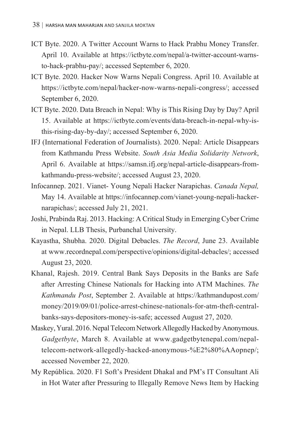- ICT Byte. 2020. A Twitter Account Warns to Hack Prabhu Money Transfer. April 10. Available at https://ictbyte.com/nepal/a-twitter-account-warnsto-hack-prabhu-pay/; accessed September 6, 2020.
- ICT Byte. 2020. Hacker Now Warns Nepali Congress. April 10. Available at https://ictbyte.com/nepal/hacker-now-warns-nepali-congress/; accessed September 6, 2020.
- ICT Byte. 2020. Data Breach in Nepal: Why is This Rising Day by Day? April 15. Available at https://ictbyte.com/events/data-breach-in-nepal-why-isthis-rising-day-by-day/; accessed September 6, 2020.
- IFJ (International Federation of Journalists). 2020. Nepal: Article Disappears from Kathmandu Press Website. *South Asia Media Solidarity Network*, April 6. Available at https://samsn.ifj.org/nepal-article-disappears-fromkathmandu-press-website/; accessed August 23, 2020.
- Infocannep. 2021. Vianet- Young Nepali Hacker Narapichas. *Canada Nepal,*  May 14. Available at https://infocannep.com/vianet-young-nepali-hackernarapichas/; accessed July 21, 2021.
- Joshi, Prabinda Raj. 2013. Hacking: A Critical Study in Emerging Cyber Crime in Nepal. LLB Thesis, Purbanchal University.
- Kayastha, Shubha. 2020. Digital Debacles. *The Record*, June 23. Available at www.recordnepal.com/perspective/opinions/digital-debacles/; accessed August 23, 2020.
- Khanal, Rajesh. 2019. Central Bank Says Deposits in the Banks are Safe after Arresting Chinese Nationals for Hacking into ATM Machines. *The Kathmandu Post*, September 2. Available at https://kathmandupost.com/ money/2019/09/01/police-arrest-chinese-nationals-for-atm-theft-centralbanks-says-depositors-money-is-safe; accessed August 27, 2020.
- Maskey, Yural. 2016. Nepal Telecom Network Allegedly Hacked by Anonymous. *Gadgetbyte*, March 8. Available at www.gadgetbytenepal.com/nepaltelecom-network-allegedly-hacked-anonymous-%E2%80%AAopnep/; accessed November 22, 2020.
- My República. 2020. F1 Soft's President Dhakal and PM's IT Consultant Ali in Hot Water after Pressuring to Illegally Remove News Item by Hacking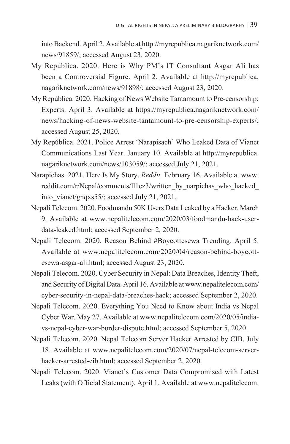into Backend. April 2. Available athttp://myrepublica.nagariknetwork.com/ news/91859/; accessed August 23, 2020.

- My República. 2020. Here is Why PM's IT Consultant Asgar Ali has been a Controversial Figure. April 2. Available at http://myrepublica. nagariknetwork.com/news/91898/; accessed August 23, 2020.
- My República. 2020. Hacking of News Website Tantamount to Pre-censorship: Experts. April 3. Available at https://myrepublica.nagariknetwork.com/ news/hacking-of-news-website-tantamount-to-pre-censorship-experts/; accessed August 25, 2020.
- My República. 2021. Police Arrest 'Narapisach' Who Leaked Data of Vianet Communications Last Year. January 10. Available at http://myrepublica. nagariknetwork.com/news/103059/; accessed July 21, 2021.
- Narapichas. 2021. Here Is My Story. *Reddit,* February 16. Available at www. reddit.com/r/Nepal/comments/ll1cz3/written\_by\_narpichas\_who\_hacked\_ into\_vianet/gnqxs55/; accessed July 21, 2021.
- Nepali Telecom. 2020. Foodmandu 50K Users Data Leaked by a Hacker. March 9. Available at www.nepalitelecom.com/2020/03/foodmandu-hack-userdata-leaked.html; accessed September 2, 2020.
- Nepali Telecom. 2020. Reason Behind #Boycottesewa Trending. April 5. Available at www.nepalitelecom.com/2020/04/reason-behind-boycottesewa-asgar-ali.html; accessed August 23, 2020.
- Nepali Telecom. 2020. Cyber Security in Nepal: Data Breaches, Identity Theft, and Security of Digital Data. April 16. Available at www.nepalitelecom.com/ cyber-security-in-nepal-data-breaches-hack; accessed September 2, 2020.
- Nepali Telecom. 2020. Everything You Need to Know about India vs Nepal Cyber War. May 27. Available at www.nepalitelecom.com/2020/05/indiavs-nepal-cyber-war-border-dispute.html; accessed September 5, 2020.
- Nepali Telecom. 2020. Nepal Telecom Server Hacker Arrested by CIB. July 18. Available at www.nepalitelecom.com/2020/07/nepal-telecom-serverhacker-arrested-cib.html; accessed September 2, 2020.
- Nepali Telecom. 2020. Vianet's Customer Data Compromised with Latest Leaks (with Official Statement). April 1. Available at www.nepalitelecom.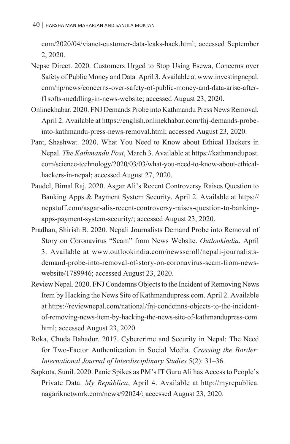com/2020/04/vianet-customer-data-leaks-hack.html; accessed September 2, 2020.

- Nepse Direct. 2020. Customers Urged to Stop Using Esewa, Concerns over Safety of Public Money and Data*.* April 3. Available at www.investingnepal. com/np/news/concerns-over-safety-of-public-money-and-data-arise-afterf1softs-meddling-in-news-website; accessed August 23, 2020.
- Onlinekhabar. 2020. FNJ Demands Probe into Kathmandu Press News Removal. April 2. Available at https://english.onlinekhabar.com/fnj-demands-probeinto-kathmandu-press-news-removal.html; accessed August 23, 2020.
- Pant, Shashwat. 2020. What You Need to Know about Ethical Hackers in Nepal. *The Kathmandu Post*, March 3. Available at https://kathmandupost. com/science-technology/2020/03/03/what-you-need-to-know-about-ethicalhackers-in-nepal; accessed August 27, 2020.
- Paudel, Bimal Raj. 2020. Asgar Ali's Recent Controversy Raises Question to Banking Apps & Payment System Security. April 2. Available at https:// nepstuff.com/asgar-alis-recent-controversy-raises-question-to-bankingapps-payment-system-security/; accessed August 23, 2020.
- Pradhan, Shirish B. 2020. Nepali Journalists Demand Probe into Removal of Story on Coronavirus "Scam" from News Website. *Outlookindia*, April 3. Available at www.outlookindia.com/newsscroll/nepali-journalistsdemand-probe-into-removal-of-story-on-coronavirus-scam-from-newswebsite/1789946; accessed August 23, 2020.
- Review Nepal. 2020. FNJ Condemns Objects to the Incident of Removing News Item by Hacking the News Site of Kathmandupress.com. April 2. Available at https://reviewnepal.com/national/fnj-condemns-objects-to-the-incidentof-removing-news-item-by-hacking-the-news-site-of-kathmandupress-com. html; accessed August 23, 2020.
- Roka, Chuda Bahadur. 2017. Cybercrime and Security in Nepal: The Need for Two-Factor Authentication in Social Media. *Crossing the Border: International Journal of Interdisciplinary Studies* 5(2): 31–36.
- Sapkota, Sunil. 2020. Panic Spikes as PM's IT Guru Ali has Access to People's Private Data. *My República*, April 4. Available at http://myrepublica. nagariknetwork.com/news/92024/; accessed August 23, 2020.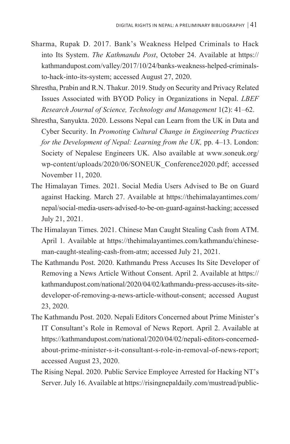- Sharma, Rupak D. 2017. Bank's Weakness Helped Criminals to Hack into Its System. *The Kathmandu Post*, October 24. Available at https:// kathmandupost.com/valley/2017/10/24/banks-weakness-helped-criminalsto-hack-into-its-system; accessed August 27, 2020.
- Shrestha, Prabin and R.N. Thakur. 2019. Study on Security and Privacy Related Issues Associated with BYOD Policy in Organizations in Nepal. *LBEF Research Journal of Science, Technology and Management* 1(2): 41–62.
- Shrestha, Sanyukta. 2020. Lessons Nepal can Learn from the UK in Data and Cyber Security. In *Promoting Cultural Change in Engineering Practices for the Development of Nepal: Learning from the UK, pp. 4–13. London:* Society of Nepalese Engineers UK. Also available at www.soneuk.org/ wp-content/uploads/2020/06/SONEUK\_Conference2020.pdf; accessed November 11, 2020.
- The Himalayan Times. 2021. Social Media Users Advised to Be on Guard against Hacking. March 27. Available at https://thehimalayantimes.com/ nepal/social-media-users-advised-to-be-on-guard-against-hacking; accessed July 21, 2021.
- The Himalayan Times. 2021. Chinese Man Caught Stealing Cash from ATM. April 1*.* Available at https://thehimalayantimes.com/kathmandu/chineseman-caught-stealing-cash-from-atm; accessed July 21, 2021.
- The Kathmandu Post. 2020. Kathmandu Press Accuses Its Site Developer of Removing a News Article Without Consent. April 2. Available at https:// kathmandupost.com/national/2020/04/02/kathmandu-press-accuses-its-sitedeveloper-of-removing-a-news-article-without-consent; accessed August 23, 2020.
- The Kathmandu Post. 2020. Nepali Editors Concerned about Prime Minister's IT Consultant's Role in Removal of News Report. April 2. Available at https://kathmandupost.com/national/2020/04/02/nepali-editors-concernedabout-prime-minister-s-it-consultant-s-role-in-removal-of-news-report; accessed August 23, 2020.
- The Rising Nepal. 2020. Public Service Employee Arrested for Hacking NT's Server. July 16. Available at https://risingnepaldaily.com/mustread/public-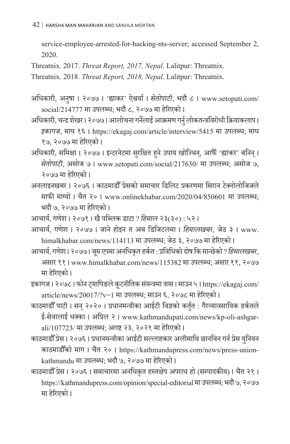service-employee-arrested-for-hacking-nts-server; accessed September 2, 2020.

Threatnix. 2017. *Threat Report, 2017, Nepal*. Lalitpur: Threatnix.

Threatnix. 2018. *Threat Report, 2018, Nepal.* Lalitpur: Threatnix.

- अधिकारी, अनषुा । २०७७ । 'ह्याकर' ऐश्वर्या । *सेतोपाटी*, भदौ ८ । www.setopati.com/ social/214777 मा उपलब्ध; भदौ ८, २०७७ मा हरेिएको ।
- अधिकारी, चन्द्र शेखर । २०७७ । आलोचना गर्नेलाई आक्रमण गर्नु लोकतन्त्रविरोधी क्रियाकलाप । *इकागज*, माघ १६ । https://ekagaj.com/article/interview/5415 मा उपलब्ध; माघ १७, २०७७ मा हरेिएको ।
- अधिकारी, समिक्षा । २०७७ । इन्टरनेटमा सुरक्षित हुने उपाय खोज्थिन्, आफैँ 'ह्याकर' बनिन् । .<br>. *सेतोपाटी*, असोज ७ । www.setopati.com/social/217630/ मा उपलब्ध; असोज ७, २०७७ मा हरेिएको ।
- अनलाइनखबर । २०७६ । काठमाडौ ँ प्रेसको समाचार डिलिट प्रकरणमा सिरान टेक्नोलोजिजले माफी माग्यो । चैत २० । www.onlinekhabar.com/2020/04/850601 मा उपलब्ध; भदौ ७, २०७७ मा हरेिएको ।

आचार्य, गणेश । २०७१ । खै पब्लिक डाटा ? *हिमाल* २३(३०) : ५२ ।

- आचार्य, गणेश । २०७७ । जाने होइन त अब डिजिटलमा । *हिमालखबर*, जेठ ३ । www. himalkhabar.com/news/114113 मा उपलब्ध; जेठ ३, २०७७ मा हरेिएको ।
- आचार्य, गणेश । २०७७ । जूम एपमा अनधिकृत हर्कत : प्रविधिको दोष कि मान्छेको ? *हिमालखबर*, असार ११ । www.himalkhabar.com/news/115382 मा उपलब्ध; असार ११, २०७७ मा हरेिएको ।
- इकागज। २०७८। फोन ट्यापिङले कूटनीतिक संयन्त्रमा त्रास। साउन ५। https://ekagaj.com/ article/news/20017/?v=1 मा उपलब्ध; साउन ६, २०७८ मा हरेिएको ।
- काठमाडौँ पाटी । सन् २०२० । प्रधानमन्त्रीका आईटी विज्ञको कर्तुत : गैरव्यावसायिक हर्कतले ई-सेवालाई धक्का । अप्रिल २ । www.kathmandupati.com/news/kp-oli-ashgarali/107723/ मा उपलब्ध; अगष्ट २३, २०२१ मा हरेिएको ।
- काठमाडौँ प्रेस । २०७६ । प्रधानमन्त्रीका आईटी सल्लाहकार अलीमाथि छानविन गर्न प्रेस युनियन काठमाडौ ँको माग । चैत २० । https://kathmandupress.com/news/press-unionkathmandu मा उपलब्ध; भदौ ७, २०७७ मा हरेिएको ।
- काठमाडौ ँ प्रेस । २०७६ । समाचारमा अनधिकृत हस्तक्षेप अपराध हो (सम्पादकीय) । चैत २१ । https://kathmandupress.com/opinion/special-editorial मा उपलब्ध; भदौ ७, २०७७ मा हरेिएको ।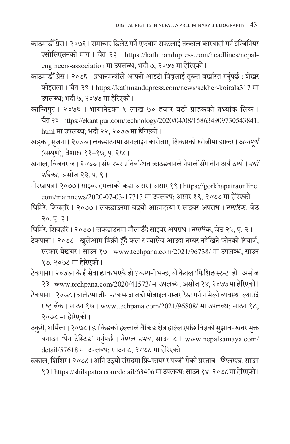- काठमाडौ ँ प्रेस । २०७६ । समाचार डिलेट गर्ने एफवान सफ्टलाई तत्काल कारबाही गर्न इन्जिनियर एसोसिएसनको माग । चैत २३ । https://kathmandupress.com/headlines/nepalengineers-association मा उपलब्ध; भदौ ७, २०७७ मा हरेिएको ।
- काठमाडौँ प्रेस । २०७६ । प्रधानमन्त्रीले आफ्नो आइटी विज्ञलाई तुरुन्त बर्खास्त गर्नुपर्छ : शेखर कोइराला । चैत २९ । https://kathmandupress.com/news/sekher-koirala317 मा उपलब्ध; भदौ ७, २०७७ मा हरेिएको ।
- कान्तिपुर । २०७६ । भायानेटका १ लाख ७० हजार बढी ग्राहकको तथ्यांक लिक । चैत २६ । https://ekantipur.com/technology/2020/04/08/158634909730543841. html मा उपलब्ध; भदौ २२, २०७७ मा हरेिएको ।
- खड़का, सृजना । २०७७ । लकडाउनमा अनलाइन कारोबार, शिकारको खोजीमा ह्याकर । *अन्नपूर्ण* (सम्पूर्ण ), वैशाख ११–१७, प. २ृ *।*४ ।
- खनाल, विजयराज । २०७७ । सं सारभर प्रतिबन्धित क्राउडवानले नेपालीसँग तीन अर्ब ठग्यो । *नयाँ पत्रिका*, असोज २३, प. ९ । ृ
- गोरखापत्र । २०७७ । साइबर हमलाको कडा असर । असार १९ । https://gorkhapatraonline. com/mainnews/2020-07-03-17713 मा उपलब्ध; असार १९, २०७७ मा हरेिएको ।
- घिमिरे, शिवहरि । २०७७ । लकडाउनमा बढ् यो आत्महत्या र साइबर अपराध । *नागरिक*, जेठ २०, प. ३ । ृ
- घिमिरे, शिवहरि । २०७७ । लकडाउनमा मौलाउँदै साइबर अपराध । *नागरिक*, जेठ २५, प. २ । ृ
- टेकपाना । २०७८ । खलुेआम बिक्री हुँदै कल र म्यासेज आउदा नम्बर नदेखिनेफोनको रिचार्ज, सरकार बेखबर । साउन १७ । www.techpana.com/2021/96738/ मा उपलब्ध; साउन १७, २०७८ मा हरेिएको ।
- टेकपाना । २०७७ । के ई-सेवा ह्याक भएकै हो ? कम्पनी भन्छ, यो केवल 'फिशिङ स्टन्ट' हो । असोज २३ । www.techpana.com/2020/41573/ मा उपलब्ध; असोज २४, २०७७ मा हरेिएको ।
- टेकपाना । २०७८ । वालेटमा तीन पटकभन्दा बढी मोबाइल नम्बर टेस्ट गर्न नमिल्ने व्यवस्था ल्याउँदै राष्ट्र बैंक । साउन १७ । www.techpana.com/2021/96808/ मा उपलब्ध; साउन १८, २०७८ मा हरेिएको ।
- ठकुरी, शर्मिला। २०७८। ह्याकिङको हल्लाले बैंकिङ क्षेत्र हल्लिएपछि विज्ञको सझाव- खतरामुक्त बनाउन 'पेन टेस्टिङ' गर्नुपर्छ । *नेपाल समय*, साउन ८ । www.nepalsamaya.com/ detail/57618 मा उपलब्ध; साउन ८, २०७८ मा हरेिएको ।
- ढकाल, शिशिर। २०७८। अनि उठ्यो संसदमा फ्रि-फायर र पब्जी रोक्ने प्रस्ताव।*शिलापत्र*, साउन १३ । https://shilapatra.com/detail/63406 मा उपलब्ध; साउन १४, २०७८ मा हरेिएको ।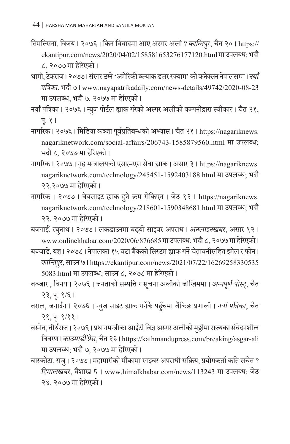- तिमल्सिना, विजय । २०७६ । किन विवादमा आए अस्गर अली ? *कान्तिपर ु*, चैत २० । https:// ekantipur.com/news/2020/04/02/158581653276177120.html मा उपलब्ध; भदौ ८, २०७७ मा हरेिएको ।
- थामी, टेकराज । २०७७ । संसार ठग्ने 'अमेरिकी ब्ल्याक डलर स्क्याम' को कनेक्सन नेपालसम्म । *नयाँ पत्रिका*, भदौ ७ । www.nayapatrikadaily.com/news-details/49742/2020-08-23 मा उपलब्ध; भदौ ७, २०७७ मा हरेिएको ।
- नयाँ पत्रिका । २०७६ । न्युज पोर्टल ह्याक गरेको अस्गर अलीको कम्पनीद्वारा स्वीकार । चैत २१, प. १ । ृ
- नागरिक । २०७६ । मिडिया कब्जा पर्व ूप्रतिबन्धको अभ्यास । चैत २१ । https://nagariknews. nagariknetwork.com/social-affairs/206743-1585879560.html मा उपलब्ध; भदौ ८, २०७७ मा हरेिएको ।
- नागरिक । २०७७ । गृह मन्त्रालयको एसएमएस सेवा ह्याक । असार ३ । https://nagariknews. nagariknetwork.com/technology/245451-1592403188.html मा उपलब्ध; भदौ २२,२०७७ मा हरेिएको ।
- नागरिक । २०७७ । वेबसाइट ह्याक हु ने क्रम रोकिएन । जेठ १२ । https://nagariknews. nagariknetwork.com/technology/218601-1590348681.html मा उपलब्ध; भदौ २२, २०७७ मा हरेिएको ।

बजगाई, रघुनाथ । २०७७ । लकडाउनमा बढ्यो साइबर अपराध । *अनलाइनखबर*, असार १२ । www.onlinekhabar.com/2020/06/876685 मा उपलब्ध; भदौ ८, २०७७ मा हरेिएको ।

बञ्जाडे, यज्ञ । २०७८ । नेपालका १५ वटा बैंकको सिस्टम ह्याक गर्ने चेतावनीसहित इमेल र फोन । *कान्तिपर ु*, साउन ७ । https://ekantipur.com/news/2021/07/22/16269258330535 5083.html मा उपलब्ध; साउन ८, २०७८ मा हरेिएको ।

- बञ्जारा, विनय । २०७६ । जनताको सम्पत्ति र सूचना अलीको जोखिममा । *अन्नपूर्ण पोस्ट्,* चैत २३, प. १/६ । ृ
- बराल, जनार्दन । २०७६ । न्युज साइट ह्याक गर्नेकै पहुँचमा बैंकिङ प्रणाली । *नयाँ पत्रिका*, चैत २१, प. १/११ । ृ
- बस्नेत, तीर्थराज। २०७६। प्रधानमन्त्रीका आईटी विज्ञ अस्गर अलीको मुठ्ठीमा राज्यका संवेदनशील विवरण । *काठमाडौ ँ प्सरे* , चैत २३ । https://kathmandupress.com/breaking/asgar-ali मा उपलब्ध; भदौ ७, २०७७ मा हरेिएको ।
- बास्कोटा, राजु । २०७७ । महामारीको मौकामा साइबर अपराधी सक्रिय, प्रयोगकर्ता कति सचेत ? *हिमालखबर*, वैशाख ६ । www.himalkhabar.com/news/113243 मा उपलब्ध; जेठ २४, २०७७ मा हरेिएको ।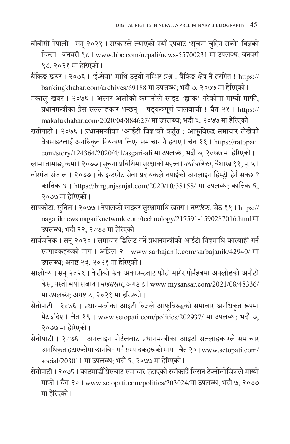बीबीसी नेपाली । सन् २०२१ । सरकारले ल्याएको नयाँ एपबाट 'सूचना चुहिन सक्ने' विज्ञको चिन्ता । जनवरी १८ । www.bbc.com/nepali/news-55700231 मा उपलब्ध; जनवरी १८, २०२१ मा हरेिएको ।

बैंकिङ खबर । २०७६ । 'ई-सेवा' माथि उठ्यो गम्भिर प्रश्न : बैंकिङ क्षेत्र नै तरं गित ! https:// bankingkhabar.com/archives/69188 मा उपलब्ध; भदौ ७, २०७७ मा हरेिएको ।

मकालु खबर । २०७६ । अस्गर अलीको कम्पनीले साइट 'ह्याक' गरेकोमा माग्यो माफी, प्रधानमन्त्रीका प्रेस सल्लाहकार भन्छन् – षड्यन्त्रपू र्ण चालबाजी ! चैत २१ । https:// makalukhabar.com/2020/04/884627/ मा उपलब्ध; भदौ ६, २०७७ मा हरेिएको ।

रातोपाटी । २०७६ । प्रधानमन्त्रीका 'आईटी विज्ञ'को कर्तुत : आफूविरुद्ध समाचार लेखेको वेबसाइटलाई अनधिकृत नियन्त्रण लिएर समाचार नै हटाए । चैत ११ । https://ratopati. com/story/124364/2020/4/1/asgari-ali मा उपलब्ध; भदौ ७, २०७७ मा हरेिएको ।

<u>लामा तामाङ, कर्मा । २०७७ । सूचना प्रविधिमा सुरक्षाको महत्त्व । *नयाँ पत्रिका*, वैशाख ११, पृ. ५ ।</u>

- वीरगंज संजाल । २०७७ । के इन्टरनेट सेवा प्रदायकले तपाईको अनलाइन हिस्ट्री हेर्न सक्छ ? कात्तिक ४ । https://birgunjsanjal.com/2020/10/38158/ मा उपलब्ध; कात्तिक ६, २०७७ मा हरेिएको ।
- सापकोटा, सुनिल । २०७७ । नेपालको साइबर सुरक्षामाथि खतरा । *नागरिक*, जेठ ११ । https:// nagariknews.nagariknetwork.com/technology/217591-1590287016.html मा उपलब्ध; भदौ २२, २०७७ मा हरेिएको ।
- सार्वजनिक । सन् २०२० । समाचार डिलिट गर्ने प्रधानमन्त्रीको आईटी विज्ञमाथि कारबाही गर्न सम्पादकहरूको माग । अप्रिल २ । www.sarbajanik.com/sarbajanik/42940/ मा उपलब्ध; अगष्ट २३, २०२१ मा हरेिएको ।

सालोक्य। सन २०२१। केटीको फेक अकाउन्टबाट फोटो मागेर पोर्नहबमा अपलोडको अनौठो केस, यस्तो भयो सजाय । *माइसं सार*, अगष्ट ८ । www.mysansar.com/2021/08/48336/ मा उपलब्ध; अगष्ट ८, २०२१ मा हरेिएको ।

- सेतोपाटी । २०७६ । प्रधानमन्त्रीका आइटी विज्ञले आफूविरुद्धको समाचार अनधिकृत रूपमा मेटाइदिए । चैत १९ । www.setopati.com/politics/202937/ मा उपलब्ध; भदौ ७, २०७७ मा हरेिएको ।
- सेतोपाटी । २०७६ । अनलाइन पोर्टलबाट प्रधानमन्त्रीका आइटी सल्लाहकारले समाचार अनधिकृत हटाएकोमा छानबिन गर्न सम्पादकहरूको माग । चैत २० । www.setopati.com/ social/203011 मा उपलब्ध; भदौ ६, २०७७ मा हरेिएको ।
- सेतोपाटी । २०७६ । काठमाडौ ँ प्रेसबाट समाचार हटाएको स्वीकार्दै सिरान टेक्नोलोजिजले माग्यो माफी । चैत २० । www.setopati.com/politics/203024/मा उपलब्ध; भदौ ७, २०७७ मा हरेिएको ।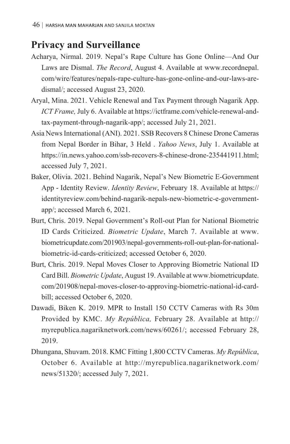## **Privacy and Surveillance**

- Acharya, Nirmal. 2019. Nepal's Rape Culture has Gone Online—And Our Laws are Dismal. *The Record*, August 4. Available at www.recordnepal. com/wire/features/nepals-rape-culture-has-gone-online-and-our-laws-aredismal/; accessed August 23, 2020.
- Aryal, Mina. 2021. Vehicle Renewal and Tax Payment through Nagarik App. *ICT Frame,* July 6. Available at https://ictframe.com/vehicle-renewal-andtax-payment-through-nagarik-app/; accessed July 21, 2021.
- Asia News International (ANI). 2021. SSB Recovers 8 Chinese Drone Cameras from Nepal Border in Bihar, 3 Held . *Yahoo News*, July 1. Available at https://in.news.yahoo.com/ssb-recovers-8-chinese-drone-235441911.html; accessed July 7, 2021.
- Baker, Olivia. 2021. Behind Nagarik, Nepal's New Biometric E-Government App - Identity Review. *Identity Review*, February 18. Available at https:// identityreview.com/behind-nagarik-nepals-new-biometric-e-governmentapp/; accessed March 6, 2021.
- Burt, Chris. 2019. Nepal Government's Roll-out Plan for National Biometric ID Cards Criticized. *Biometric Update*, March 7. Available at www. biometricupdate.com/201903/nepal-governments-roll-out-plan-for-nationalbiometric-id-cards-criticized; accessed October 6, 2020.
- Burt, Chris. 2019. Nepal Moves Closer to Approving Biometric National ID Card Bill. *Biometric Update*, August 19. Available at www.biometricupdate. com/201908/nepal-moves-closer-to-approving-biometric-national-id-cardbill; accessed October 6, 2020.
- Dawadi, Biken K. 2019. MPR to Install 150 CCTV Cameras with Rs 30m Provided by KMC. *My República,* February 28. Available at http:// myrepublica.nagariknetwork.com/news/60261/; accessed February 28, 2019.
- Dhungana, Shuvam. 2018. KMC Fitting 1,800 CCTV Cameras. *My República*, October 6. Available at http://myrepublica.nagariknetwork.com/ news/51320/; accessed July 7, 2021.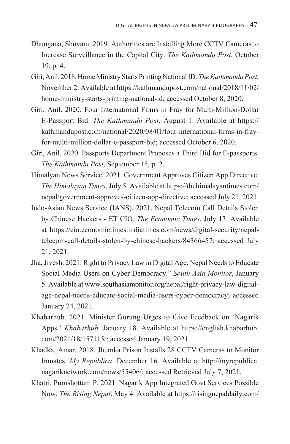- Dhungana, Shuvam. 2019. Authorities are Installing More CCTV Cameras to Increase Surveillance in the Capital City. *The Kathmandu Post*, October 19, p. 4.
- Giri, Anil. 2018. Home Ministry Starts Printing National ID. *The Kathmandu Post*, November 2. Available at https://kathmandupost.com/national/2018/11/02/ home-ministry-starts-printing-national-id; accessed October 8, 2020.
- Giri, Anil. 2020. Four International Firms in Fray for Multi-Million-Dollar E-Passport Bid. *The Kathmandu Post*, August 1. Available at https:// kathmandupost.com/national/2020/08/01/four-international-firms-in-frayfor-multi-million-dollar-e-passport-bid; accessed October 6, 2020.
- Giri, Anil. 2020. Passports Department Proposes a Third Bid for E-passports. *The Kathmandu Post*, September 15, p. 2.
- Himalyan News Service. 2021. Government Approves Citizen App Directive. *The Himalayan Times*, July 5. Available at https://thehimalayantimes.com/ nepal/government-approves-citizen-app-directive; accessed July 21, 2021.
- Indo-Asian News Service (IANS). 2021. Nepal Telecom Call Details Stolen by Chinese Hackers - ET CIO. *The Economic Times*, July 13. Available at https://cio.economictimes.indiatimes.com/news/digital-security/nepaltelecom-call-details-stolen-by-chinese-hackers/84366457; accessed July 21, 2021.
- Jha, Jivesh. 2021. Right to Privacy Law in Digital Age: Nepal Needs to Educate Social Media Users on Cyber Democracy." *South Asia Monitor*, January 5. Available at www.southasiamonitor.org/nepal/right-privacy-law-digitalage-nepal-needs-educate-social-media-users-cyber-democracy; accessed January 24, 2021.
- Khabarhub. 2021. Minister Gurung Urges to Give Feedback on 'Nagarik Apps.' *Khabarhub*. January 18. Available at https://english.khabarhub. com/2021/18/157115/; accessed January 19, 2021.
- Khadka, Amar. 2018. Jhumka Prison Installs 28 CCTV Cameras to Monitor Inmates. *My República*. December 16. Available at http://myrepublica. nagariknetwork.com/news/55406/; accessed Retrieved July 7, 2021.
- Khatri, Purushottam P. 2021. Nagarik App Integrated Govt Services Possible Now. *The Rising Nepal*, May 4. Available at https://risingnepaldaily.com/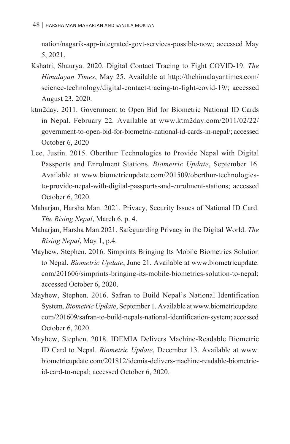nation/nagarik-app-integrated-govt-services-possible-now; accessed May 5, 2021.

- Kshatri, Shaurya. 2020. Digital Contact Tracing to Fight COVID-19. *The Himalayan Times*, May 25. Available at http://thehimalayantimes.com/ science-technology/digital-contact-tracing-to-fight-covid-19/; accessed August 23, 2020.
- ktm2day. 2011. Government to Open Bid for Biometric National ID Cards in Nepal. February 22*.* Available at www.ktm2day.com/2011/02/22/ government-to-open-bid-for-biometric-national-id-cards-in-nepal/; accessed October 6, 2020
- Lee, Justin. 2015. Oberthur Technologies to Provide Nepal with Digital Passports and Enrolment Stations. *Biometric Update*, September 16. Available at www.biometricupdate.com/201509/oberthur-technologiesto-provide-nepal-with-digital-passports-and-enrolment-stations; accessed October 6, 2020.
- Maharjan, Harsha Man. 2021. Privacy, Security Issues of National ID Card. *The Rising Nepal*, March 6, p. 4.
- Maharjan, Harsha Man.2021. Safeguarding Privacy in the Digital World. *The Rising Nepal*, May 1, p.4.
- Mayhew, Stephen. 2016. Simprints Bringing Its Mobile Biometrics Solution to Nepal. *Biometric Update*, June 21. Available at www.biometricupdate. com/201606/simprints-bringing-its-mobile-biometrics-solution-to-nepal; accessed October 6, 2020.
- Mayhew, Stephen. 2016. Safran to Build Nepal's National Identification System. *Biometric Update*, September 1. Available at www.biometricupdate. com/201609/safran-to-build-nepals-national-identification-system; accessed October 6, 2020.
- Mayhew, Stephen. 2018. IDEMIA Delivers Machine-Readable Biometric ID Card to Nepal. *Biometric Update*, December 13. Available at www. biometricupdate.com/201812/idemia-delivers-machine-readable-biometricid-card-to-nepal; accessed October 6, 2020.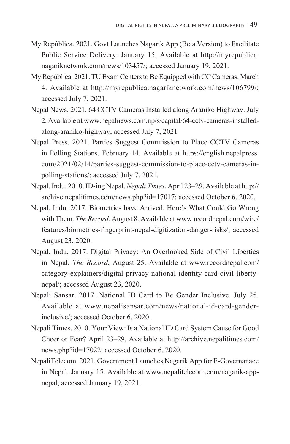- My República. 2021. Govt Launches Nagarik App (Beta Version) to Facilitate Public Service Delivery. January 15. Available at http://myrepublica. nagariknetwork.com/news/103457/; accessed January 19, 2021.
- My República. 2021. TU Exam Centers to Be Equipped with CC Cameras. March 4. Available at http://myrepublica.nagariknetwork.com/news/106799/; accessed July 7, 2021.
- Nepal News. 2021. 64 CCTV Cameras Installed along Araniko Highway. July 2. Available at www.nepalnews.com.np/s/capital/64-cctv-cameras-installedalong-araniko-highway; accessed July 7, 2021
- Nepal Press. 2021. Parties Suggest Commission to Place CCTV Cameras in Polling Stations. February 14. Available at https://english.nepalpress. com/2021/02/14/parties-suggest-commission-to-place-cctv-cameras-inpolling-stations/; accessed July 7, 2021.
- Nepal, Indu. 2010. ID-ing Nepal. *Nepali Times*, April 23–29. Available at http:// archive.nepalitimes.com/news.php?id=17017; accessed October 6, 2020.
- Nepal, Indu. 2017. Biometrics have Arrived. Here's What Could Go Wrong with Them. *The Record*, August 8. Available at www.recordnepal.com/wire/ features/biometrics-fingerprint-nepal-digitization-danger-risks/; accessed August 23, 2020.
- Nepal, Indu. 2017. Digital Privacy: An Overlooked Side of Civil Liberties in Nepal. *The Record*, August 25. Available at www.recordnepal.com/ category-explainers/digital-privacy-national-identity-card-civil-libertynepal/; accessed August 23, 2020.
- Nepali Sansar. 2017. National ID Card to Be Gender Inclusive. July 25. Available at www.nepalisansar.com/news/national-id-card-genderinclusive/; accessed October 6, 2020.
- Nepali Times. 2010. Your View: Is a National ID Card System Cause for Good Cheer or Fear? April 23–29. Available at http://archive.nepalitimes.com/ news.php?id=17022; accessed October 6, 2020.
- NepaliTelecom. 2021. Government Launches Nagarik App for E-Governanace in Nepal. January 15. Available at www.nepalitelecom.com/nagarik-appnepal; accessed January 19, 2021.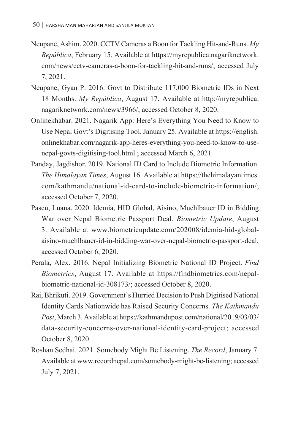- Neupane, Ashim. 2020. CCTV Cameras a Boon for Tackling Hit-and-Runs. *My República*, February 15. Available athttps://myrepublica.nagariknetwork. com/news/cctv-cameras-a-boon-for-tackling-hit-and-runs/; accessed July 7, 2021.
- Neupane, Gyan P. 2016. Govt to Distribute 117,000 Biometric IDs in Next 18 Months. *My República*, August 17. Available at http://myrepublica. nagariknetwork.com/news/3966/; accessed October 8, 2020.
- Onlinekhabar. 2021. Nagarik App: Here's Everything You Need to Know to Use Nepal Govt's Digitising Tool. January 25. Available at https://english. onlinekhabar.com/nagarik-app-heres-everything-you-need-to-know-to-usenepal-govts-digitising-tool.html ; accessed March 6, 2021
- Panday, Jagdishor. 2019. National ID Card to Include Biometric Information. *The Himalayan Times*, August 16. Available at https://thehimalayantimes. com/kathmandu/national-id-card-to-include-biometric-information/; accessed October 7, 2020.
- Pascu, Luana. 2020. Idemia, HID Global, Aisino, Muehlbauer ID in Bidding War over Nepal Biometric Passport Deal. *Biometric Update*, August 3. Available at www.biometricupdate.com/202008/idemia-hid-globalaisino-muehlbauer-id-in-bidding-war-over-nepal-biometric-passport-deal; accessed October 6, 2020.
- Perala, Alex. 2016. Nepal Initializing Biometric National ID Project. *Find Biometrics*, August 17. Available at https://findbiometrics.com/nepalbiometric-national-id-308173/; accessed October 8, 2020.
- Rai, Bhrikuti. 2019. Government's Hurried Decision to Push Digitised National Identity Cards Nationwide has Raised Security Concerns. *The Kathmandu Post*, March 3. Available at https://kathmandupost.com/national/2019/03/03/ data-security-concerns-over-national-identity-card-project; accessed October 8, 2020.
- Roshan Sedhai. 2021. Somebody Might Be Listening. *The Record*, January 7. Available at www.recordnepal.com/somebody-might-be-listening; accessed July 7, 2021.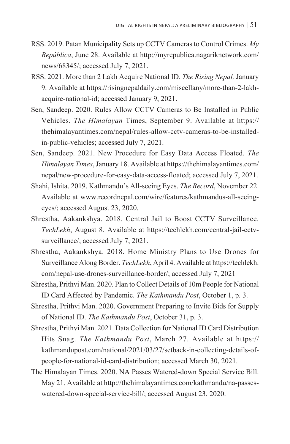- RSS. 2019. Patan Municipality Sets up CCTV Cameras to Control Crimes. *My República*, June 28. Available at http://myrepublica.nagariknetwork.com/ news/68345/; accessed July 7, 2021.
- RSS. 2021. More than 2 Lakh Acquire National ID. *The Rising Nepal,* January 9. Available at https://risingnepaldaily.com/miscellany/more-than-2-lakhacquire-national-id; accessed January 9, 2021.
- Sen, Sandeep. 2020. Rules Allow CCTV Cameras to Be Installed in Public Vehicles. *The Himalayan* Times, September 9. Available at https:// thehimalayantimes.com/nepal/rules-allow-cctv-cameras-to-be-installedin-public-vehicles; accessed July 7, 2021.
- Sen, Sandeep. 2021. New Procedure for Easy Data Access Floated. *The Himalayan Times*, January 18. Available at https://thehimalayantimes.com/ nepal/new-procedure-for-easy-data-access-floated; accessed July 7, 2021.
- Shahi, Ishita. 2019. Kathmandu's All-seeing Eyes. *The Record*, November 22. Available at www.recordnepal.com/wire/features/kathmandus-all-seeingeyes/; accessed August 23, 2020.
- Shrestha, Aakankshya. 2018. Central Jail to Boost CCTV Surveillance. *TechLekh*, August 8. Available at https://techlekh.com/central-jail-cctvsurveillance/; accessed July 7, 2021.
- Shrestha, Aakankshya. 2018. Home Ministry Plans to Use Drones for Surveillance Along Border. *TechLekh*, April 4. Available at https://techlekh. com/nepal-use-drones-surveillance-border/; accessed July 7, 2021
- Shrestha, Prithvi Man. 2020. Plan to Collect Details of 10m People for National ID Card Affected by Pandemic. *The Kathmandu Post*, October 1, p. 3.
- Shrestha, Prithvi Man. 2020. Government Preparing to Invite Bids for Supply of National ID. *The Kathmandu Post*, October 31, p. 3.
- Shrestha, Prithvi Man. 2021. Data Collection for National ID Card Distribution Hits Snag. *The Kathmandu Post*, March 27. Available at https:// kathmandupost.com/national/2021/03/27/setback-in-collecting-details-ofpeople-for-national-id-card-distribution; accessed March 30, 2021.
- The Himalayan Times. 2020. NA Passes Watered-down Special Service Bill. May 21. Available at http://thehimalayantimes.com/kathmandu/na-passeswatered-down-special-service-bill/; accessed August 23, 2020.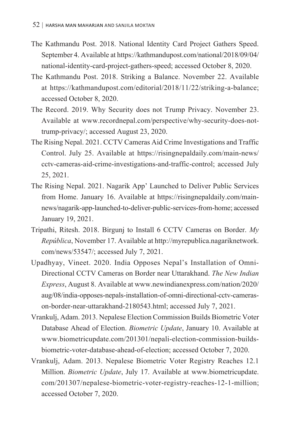- The Kathmandu Post. 2018. National Identity Card Project Gathers Speed. September 4. Available at https://kathmandupost.com/national/2018/09/04/ national-identity-card-project-gathers-speed; accessed October 8, 2020.
- The Kathmandu Post. 2018. Striking a Balance. November 22. Available at https://kathmandupost.com/editorial/2018/11/22/striking-a-balance; accessed October 8, 2020.
- The Record. 2019. Why Security does not Trump Privacy. November 23. Available at www.recordnepal.com/perspective/why-security-does-nottrump-privacy/; accessed August 23, 2020.
- The Rising Nepal. 2021. CCTV Cameras Aid Crime Investigations and Traffic Control. July 25. Available at https://risingnepaldaily.com/main-news/ cctv-cameras-aid-crime-investigations-and-traffic-control; accessed July 25, 2021.
- The Rising Nepal. 2021. Nagarik App' Launched to Deliver Public Services from Home. January 16. Available at https://risingnepaldaily.com/mainnews/nagarik-app-launched-to-deliver-public-services-from-home; accessed January 19, 2021.
- Tripathi, Ritesh. 2018. Birgunj to Install 6 CCTV Cameras on Border. *My República*, November 17. Available at http://myrepublica.nagariknetwork. com/news/53547/; accessed July 7, 2021.
- Upadhyay, Vineet. 2020. India Opposes Nepal's Installation of Omni-Directional CCTV Cameras on Border near Uttarakhand. *The New Indian Express*, August 8. Available at www.newindianexpress.com/nation/2020/ aug/08/india-opposes-nepals-installation-of-omni-directional-cctv-camerason-border-near-uttarakhand-2180543.html; accessed July 7, 2021.
- Vrankulj, Adam. 2013. Nepalese Election Commission Builds Biometric Voter Database Ahead of Election. *Biometric Update*, January 10. Available at www.biometricupdate.com/201301/nepali-election-commission-buildsbiometric-voter-database-ahead-of-election; accessed October 7, 2020.
- Vrankulj, Adam. 2013. Nepalese Biometric Voter Registry Reaches 12.1 Million. *Biometric Update*, July 17. Available at www.biometricupdate. com/201307/nepalese-biometric-voter-registry-reaches-12-1-million; accessed October 7, 2020.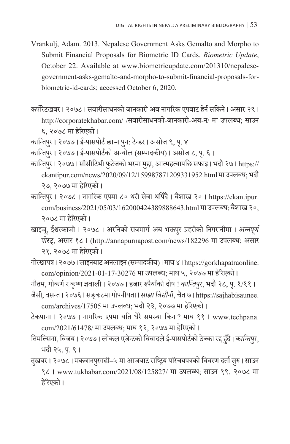- Vrankulj, Adam. 2013. Nepalese Government Asks Gemalto and Morpho to Submit Financial Proposals for Biometric ID Cards. *Biometric Update*, October 22. Available at www.biometricupdate.com/201310/nepalesegovernment-asks-gemalto-and-morpho-to-submit-financial-proposals-forbiometric-id-cards; accessed October 6, 2020.
- कर्पोरेटखबर । २०७८ । सवारीसाधनको जानकारी अब नागरिक एपबाट हेर्न सकिने । असार २९ । http://corporatekhabar.com/ /सवारीसाधनको-जानकारी-अब-न/ मा उपलब्ध; साउन ६, २०७८ मा हरेिएको ।
- कान्तिपुर। २०७७। ई-पासपोर्ट छाप्न पुन: टेन्डर। असोज ९, पृ. ४
- कान्तिपुर । २०७७ । ई-पासपोर्टको अन्योल (सम्पादकीय) । असोज ८, पृ. ६ ।
- कान्तिपुर । २०७७ । सीसीटिभी फुटेजको भरमा मुद्दा, आत्महत्यापछि सफाइ । भदौ २७ । https:// ekantipur.com/news/2020/09/12/159987871209331952.html मा उपलब्ध; भदौ २७, २०७७ मा हरेिएको ।
- कान्तिपुर । २०७८ । नागरिक एपमा ८० थरी सेवा थपिँदै । वैशाख २० । https://ekantipur. com/business/2021/05/03/162000424389888643.html मा उपलब्ध; वैशाख २०, २०७८ मा हरेिएको ।
- खाइजू, ईश्वरकाजी । २०७८ । अरनिको राजमार्ग अब भक्तपुर प्रहरीको निगरानीमा । *अन्नपूर्ण पोस्ट्*, असार १८ । (http://annapurnapost.com/news/182296 मा उपलब्ध; असार २१, २०७८ मा हरेिएको ।
- गोरखापत्र । २०७७ । लाइनबाट अनलाइन (सम्पादकीय) । माघ ४ । https://gorkhapatraonline. com/opinion/2021-01-17-30276 मा उपलब्ध; माघ ५, २०७७ मा हरेिएको ।
- गौतम, गोकर्ण र कृष्ण ज्ञवाली । २०७७ । हजार रुपैयाँको दोष ! *कान्तिपुर,* भदौ २८, पृ. १/११ ।
- जैसी, वसन्त । २०७६ । सङ्कटमा गोपनीयता । *साझा बिसौनी*, चैत ७ । https://sajhabisaunee. com/archives/17505 मा उपलब्ध; भदौ २३, २०७७ मा हरेिएको ।
- टेकपाना । २०७७ । नागरिक एपमा यति धेरै समस्या किन ? माघ ११ । www.techpana. com/2021/61478/ मा उपलब्ध; माघ १२, २०७७ मा हरेिएको ।
- तिमल्सिना, विजय । २०७७ । लोकल एजेन्टको विवादले ई-पासपोर्टको ठेक्का रद्द हुँदै । *कान्तिपर ु*, भदौ २५, पृ. ९।
- तुखबर । २०७८ । मकवानपुरगढी–५ मा आजबाट राष्ट्रिय परिचयपत्रको विवरण दर्ता सुरु । साउन ु १८ । www.tukhabar.com/2021/08/125827/ मा उपलब्ध; साउन १९, २०७८ मा हरेिएको ।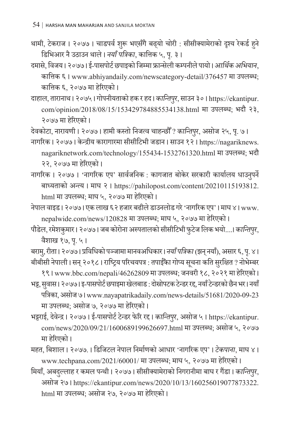- थामी, टेकराज । २०७७ । चाडपर्व शुरू भएसँगै बढ्यो चोरी : सीसीक्यामेराको दृश्य रेकर्ड हुने डिभिआर नै उठाउन थाले । *नयाँ पत्रिका*, कात्तिक ५, प. ३ । ृ
- दमास, ेविजय । २०७७ । ई-पासपोर्टछपाइको जिम्मा फ्रान्सेली कम्पनील पायो । े *आर्क अथि भियान*, कात्तिक ६ । www.abhiyandaily.com/newscategory-detail/376457 मा उपलब्ध; कात्तिक ६, २०७७ मा हरेिएको ।
- दाहाल, तारानाथ । २०७५ । गोपनीयताको हक र हद । *कान्तिपर ु*, साउन ३० । https://ekantipur. com/opinion/2018/08/15/153429784885534138.html मा उपलब्ध; भदौ २३, २०७७ मा हरेिएको ।

देवकोटा, नारायणी । २०७७ । हामी कस्तो निजत्व चाहन्छौँ? *कान्तिपर ु*, असोज २५, प. ७ । ृ

नागरिक । २०७७ । केन्द्रीय कारागारमा सीसीटिभी जडान । साउन १२ । https://nagariknews. nagariknetwork.com/technology/155434-1532761320.html मा उपलब्ध; भदौ २२, २०७७ मा हरेिएको ।

- नागरिक । २०७७ । 'नागरिक एप' सार्वजनिक : कागजात बोकेर सरकारी कार्यालय धाउनपुर्ने बाध्यताको अन्त्य । माघ २ । https://pahilopost.com/content/20210115193812. html मा उपलब्ध; माघ ५, २०७७ मा हरेिएको ।
- नेपाल वाइड । २०७७ । एक लाख ६२ हजार बढील डाउनलोड गर े े 'नागरिक एप' । माघ ४ । www. nepalwide.com/news/120828 मा उपलब्ध; माघ ५, २०७७ मा हरेिएको ।
- पौडेल, रमेशकुमार । २०७७ । जब कोरोना अस्पतालको सीसीटिभी फुटेज लिक भयो....। *कान्तिपर ु*, वैशाख १७, प. ५ । ृ

बरामु, रीता । २०७७ । प्रविधिको पञ्जामा मानवअधिकार । *नयाँ पत्रिका (*झन् नयाँ), असार ६, पृ. ४ । बीबीसी नेपाली। सन् २०१८। राष्ट्रिय परिचयपत्र : तपाईँका गोप्य सूचना कति सुरक्षित ? नोभेम्बर

१९ । www.bbc.com/nepali/46262809 मा उपलब्ध; जनवरी १८, २०२१ मा हरेिएको । भट्ट, सवास । २०७७ । इ-पासपोर्ट छपाइमा खेलबाड : दोस्रोपटक टेन्डर रद्द, नयाँ टेन्डरको छैन भर । नयाँ

- पत्रिका, असोज ७ । www.nayapatrikadaily.com/news-details/51681/2020-09-23 मा उपलब्ध; असोज ७, २०७७ मा हरेिएको ।
- भट्टराई, देवेन्द्र । २०७७ । ई-पासपोर्ट टेन्डर फेरि रद्द । *कान्तिपर ु*, असोज ५ । https://ekantipur. com/news/2020/09/21/1600689199626697.html मा उपलब्ध; असोज ५, २०७७ मा हरेिएको ।
- महत, बिशाल । २०७७. । डिजिटल नेपाल निर्माणको आधार 'नागरिक एप' । *टेकपाना*, माघ ४ । www.techpana.com/2021/60001/ मा उपलब्ध; माघ ५, २०७७ मा हरेिएको ।
- मियाँ, अबदुल्लाह र कमल पन्थी । २०७७ । सीसीक्यामेराको निगरानीमा बाघ र गैंडा । *कान्तिपुर*, असोज २७ । https://ekantipur.com/news/2020/10/13/160256019077873322. html मा उपलब्ध; असोज २७, २०७७ मा हरेिएको ।